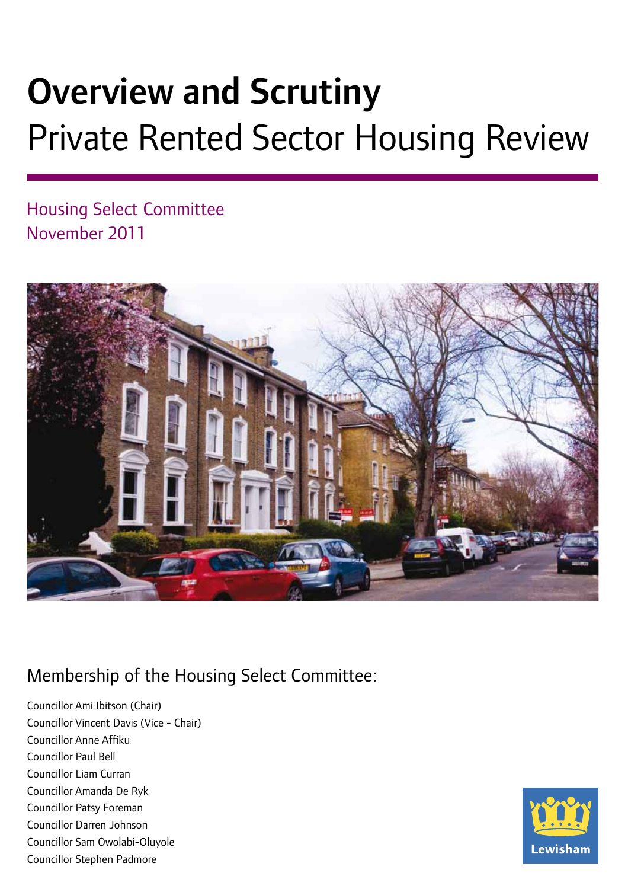# Overview and Scrutiny Private Rented Sector Housing Review

Housing Select Committee November 2011



## Membership of the Housing Select Committee:

Councillor Ami Ibitson (Chair) Councillor Vincent Davis (Vice - Chair) Councillor Anne Affiku Councillor Paul Bell Councillor Liam Curran Councillor Amanda De Ryk Councillor Patsy Foreman Councillor Darren Johnson Councillor Sam Owolabi-Oluyole Councillor Stephen Padmore

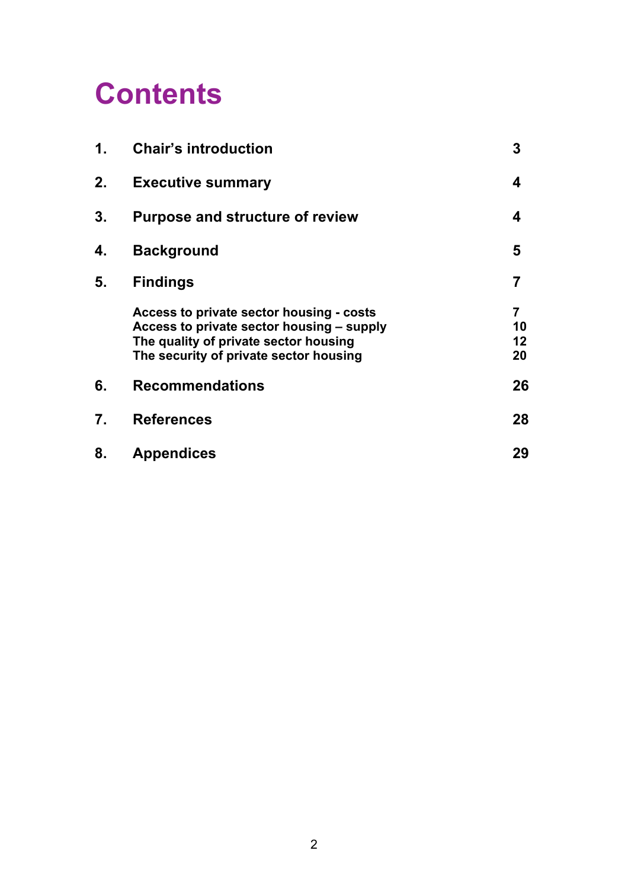## **Contents**

| 1. | <b>Chair's introduction</b>                                                                                                                                              | 3                                |
|----|--------------------------------------------------------------------------------------------------------------------------------------------------------------------------|----------------------------------|
| 2. | <b>Executive summary</b>                                                                                                                                                 | 4                                |
| 3. | <b>Purpose and structure of review</b>                                                                                                                                   | 4                                |
| 4. | <b>Background</b>                                                                                                                                                        | 5                                |
| 5. | <b>Findings</b>                                                                                                                                                          | 7                                |
|    | Access to private sector housing - costs<br>Access to private sector housing - supply<br>The quality of private sector housing<br>The security of private sector housing | $\overline{7}$<br>10<br>12<br>20 |
| 6. | <b>Recommendations</b>                                                                                                                                                   | 26                               |
| 7. | <b>References</b>                                                                                                                                                        | 28                               |
| 8. | <b>Appendices</b>                                                                                                                                                        | 29                               |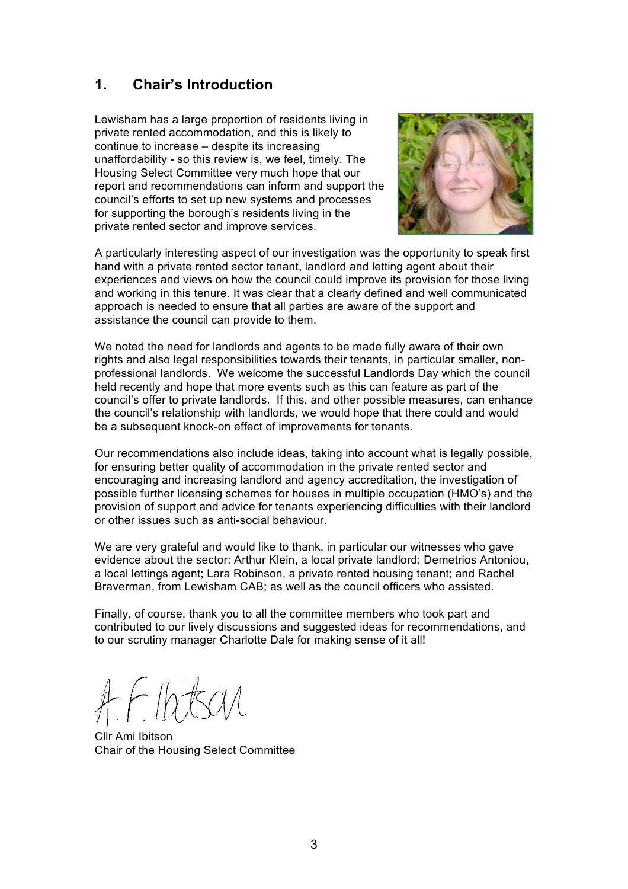## **1. Chair's Introduction**

Lewisham has a large proportion of residents living in private rented accommodation, and this is likely to continue to increase – despite its increasing unaffordability - so this review is, we feel, timely. The Housing Select Committee very much hope that our report and recommendations can inform and support the council's efforts to set up new systems and processes for supporting the borough's residents living in the private rented sector and improve services.



A particularly interesting aspect of our investigation was the opportunity to speak first hand with a private rented sector tenant, landlord and letting agent about their experiences and views on how the council could improve its provision for those living and working in this tenure. It was clear that a clearly defined and well communicated approach is needed to ensure that all parties are aware of the support and assistance the council can provide to them.

We noted the need for landlords and agents to be made fully aware of their own rights and also legal responsibilities towards their tenants, in particular smaller, nonprofessional landlords. We welcome the successful Landlords Day which the council held recently and hope that more events such as this can feature as part of the council's offer to private landlords. If this, and other possible measures, can enhance the council's relationship with landlords, we would hope that there could and would be a subsequent knock-on effect of improvements for tenants.

Our recommendations also include ideas, taking into account what is legally possible, for ensuring better quality of accommodation in the private rented sector and encouraging and increasing landlord and agency accreditation, the investigation of possible further licensing schemes for houses in multiple occupation (HMO's) and the provision of support and advice for tenants experiencing difficulties with their landlord or other issues such as anti-social behaviour.

We are very grateful and would like to thank, in particular our witnesses who gave evidence about the sector: Arthur Klein, a local private landlord; Demetrios Antoniou, a local lettings agent; Lara Robinson, a private rented housing tenant; and Rachel Braverman, from Lewisham CAB; as well as the council officers who assisted.

Finally, of course, thank you to all the committee members who took part and contributed to our lively discussions and suggested ideas for recommendations, and to our scrutiny manager Charlotte Dale for making sense of it all!

Cllr Ami Ibitson Chair of the Housing Select Committee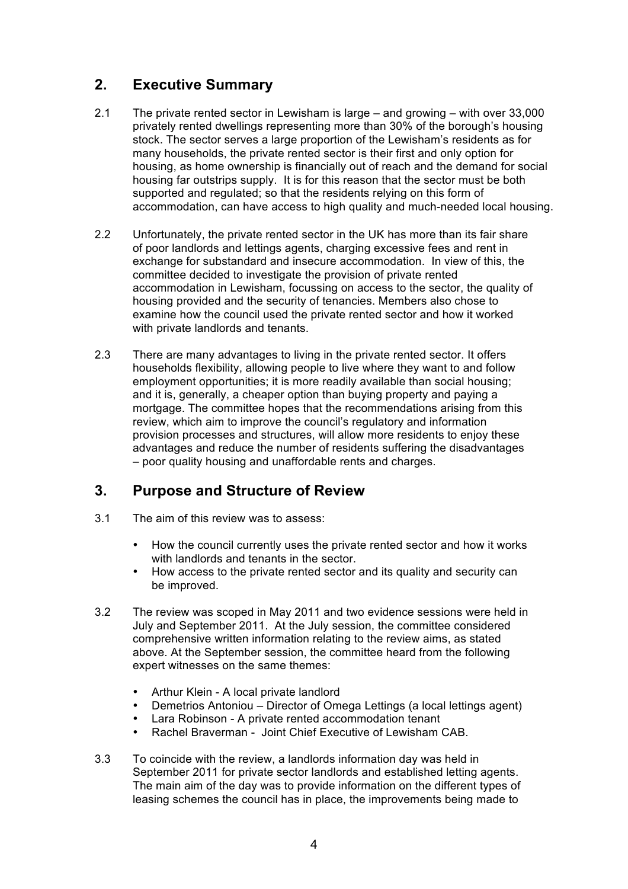## **2. Executive Summary**

- 2.1 The private rented sector in Lewisham is large and growing with over 33,000 privately rented dwellings representing more than 30% of the borough's housing stock. The sector serves a large proportion of the Lewisham's residents as for many households, the private rented sector is their first and only option for housing, as home ownership is financially out of reach and the demand for social housing far outstrips supply. It is for this reason that the sector must be both supported and regulated; so that the residents relying on this form of accommodation, can have access to high quality and much-needed local housing.
- 2.2 Unfortunately, the private rented sector in the UK has more than its fair share of poor landlords and lettings agents, charging excessive fees and rent in exchange for substandard and insecure accommodation. In view of this, the committee decided to investigate the provision of private rented accommodation in Lewisham, focussing on access to the sector, the quality of housing provided and the security of tenancies. Members also chose to examine how the council used the private rented sector and how it worked with private landlords and tenants.
- 2.3 There are many advantages to living in the private rented sector. It offers households flexibility, allowing people to live where they want to and follow employment opportunities; it is more readily available than social housing; and it is, generally, a cheaper option than buying property and paying a mortgage. The committee hopes that the recommendations arising from this review, which aim to improve the council's regulatory and information provision processes and structures, will allow more residents to enjoy these advantages and reduce the number of residents suffering the disadvantages – poor quality housing and unaffordable rents and charges.

## **3. Purpose and Structure of Review**

- 3.1 The aim of this review was to assess:
	- How the council currently uses the private rented sector and how it works with landlords and tenants in the sector.
	- How access to the private rented sector and its quality and security can be improved.
- 3.2 The review was scoped in May 2011 and two evidence sessions were held in July and September 2011. At the July session, the committee considered comprehensive written information relating to the review aims, as stated above. At the September session, the committee heard from the following expert witnesses on the same themes:
	- Arthur Klein A local private landlord
	- Demetrios Antoniou Director of Omega Lettings (a local lettings agent)
	- Lara Robinson A private rented accommodation tenant
	- Rachel Braverman Joint Chief Executive of Lewisham CAB.
- 3.3 To coincide with the review, a landlords information day was held in September 2011 for private sector landlords and established letting agents. The main aim of the day was to provide information on the different types of leasing schemes the council has in place, the improvements being made to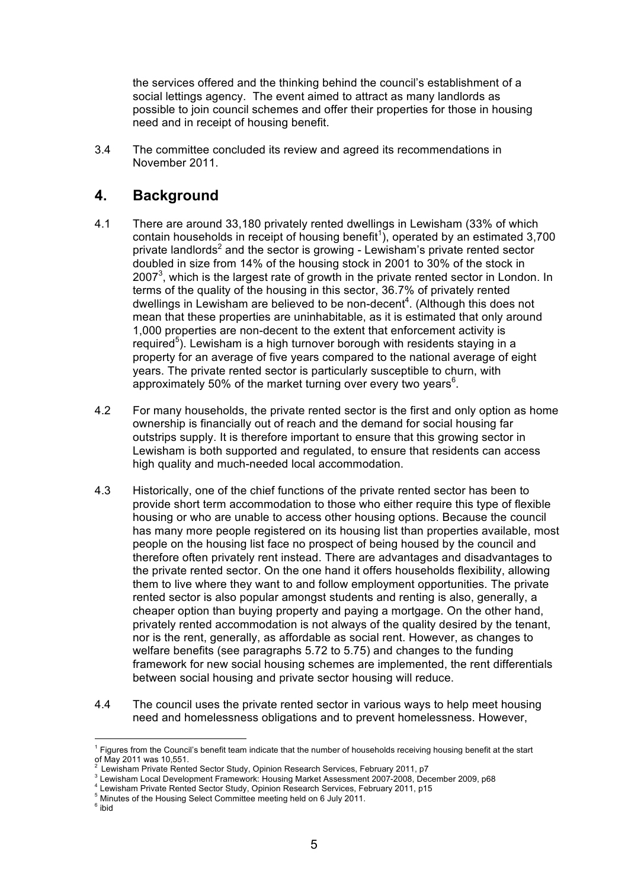the services offered and the thinking behind the council's establishment of a social lettings agency. The event aimed to attract as many landlords as possible to join council schemes and offer their properties for those in housing need and in receipt of housing benefit.

3.4 The committee concluded its review and agreed its recommendations in November 2011.

## **4. Background**

- 4.1 There are around 33,180 privately rented dwellings in Lewisham (33% of which contain households in receipt of housing benefit<sup>1</sup>), operated by an estimated 3,700 private landlords<sup>2</sup> and the sector is growing - Lewisham's private rented sector doubled in size from 14% of the housing stock in 2001 to 30% of the stock in 2007 $3$ , which is the largest rate of growth in the private rented sector in London. In terms of the quality of the housing in this sector, 36.7% of privately rented dwellings in Lewisham are believed to be non-decent<sup>4</sup>. (Although this does not mean that these properties are uninhabitable, as it is estimated that only around 1,000 properties are non-decent to the extent that enforcement activity is required<sup>5</sup>). Lewisham is a high turnover borough with residents staying in a property for an average of five years compared to the national average of eight years. The private rented sector is particularly susceptible to churn, with approximately 50% of the market turning over every two years $^6$ .
- 4.2 For many households, the private rented sector is the first and only option as home ownership is financially out of reach and the demand for social housing far outstrips supply. It is therefore important to ensure that this growing sector in Lewisham is both supported and regulated, to ensure that residents can access high quality and much-needed local accommodation.
- 4.3 Historically, one of the chief functions of the private rented sector has been to provide short term accommodation to those who either require this type of flexible housing or who are unable to access other housing options. Because the council has many more people registered on its housing list than properties available, most people on the housing list face no prospect of being housed by the council and therefore often privately rent instead. There are advantages and disadvantages to the private rented sector. On the one hand it offers households flexibility, allowing them to live where they want to and follow employment opportunities. The private rented sector is also popular amongst students and renting is also, generally, a cheaper option than buying property and paying a mortgage. On the other hand, privately rented accommodation is not always of the quality desired by the tenant, nor is the rent, generally, as affordable as social rent. However, as changes to welfare benefits (see paragraphs 5.72 to 5.75) and changes to the funding framework for new social housing schemes are implemented, the rent differentials between social housing and private sector housing will reduce.
- 4.4 The council uses the private rented sector in various ways to help meet housing need and homelessness obligations and to prevent homelessness. However,

 $\overline{a}$ <sup>1</sup> Figures from the Council's benefit team indicate that the number of households receiving housing benefit at the start of May 2011 was 10,551.

<sup>2</sup> Lewisham Private Rented Sector Study, Opinion Research Services, February 2011, p7

Lewisham Local Development Framework: Housing Market Assessment 2007-2008, December 2009, p68 <sup>4</sup>

<sup>&</sup>lt;sup>4</sup> Lewisham Private Rented Sector Study, Opinion Research Services, February 2011, p15

<sup>&</sup>lt;sup>5</sup> Minutes of the Housing Select Committee meeting held on 6 July 2011.

<sup>&</sup>lt;sup>6</sup> ibid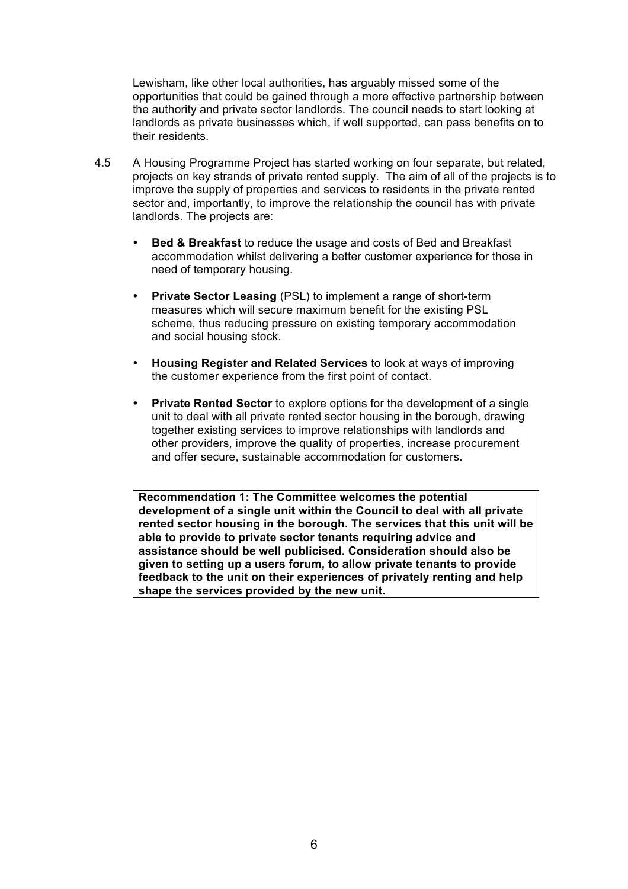Lewisham, like other local authorities, has arguably missed some of the opportunities that could be gained through a more effective partnership between the authority and private sector landlords. The council needs to start looking at landlords as private businesses which, if well supported, can pass benefits on to their residents.

- 4.5 A Housing Programme Project has started working on four separate, but related, projects on key strands of private rented supply. The aim of all of the projects is to improve the supply of properties and services to residents in the private rented sector and, importantly, to improve the relationship the council has with private landlords. The projects are:
	- **Bed & Breakfast** to reduce the usage and costs of Bed and Breakfast accommodation whilst delivering a better customer experience for those in need of temporary housing.
	- **Private Sector Leasing** (PSL) to implement a range of short-term measures which will secure maximum benefit for the existing PSL scheme, thus reducing pressure on existing temporary accommodation and social housing stock.
	- **Housing Register and Related Services** to look at ways of improving the customer experience from the first point of contact.
	- **Private Rented Sector** to explore options for the development of a single unit to deal with all private rented sector housing in the borough, drawing together existing services to improve relationships with landlords and other providers, improve the quality of properties, increase procurement and offer secure, sustainable accommodation for customers.

**Recommendation 1: The Committee welcomes the potential development of a single unit within the Council to deal with all private rented sector housing in the borough. The services that this unit will be able to provide to private sector tenants requiring advice and assistance should be well publicised. Consideration should also be given to setting up a users forum, to allow private tenants to provide feedback to the unit on their experiences of privately renting and help shape the services provided by the new unit.**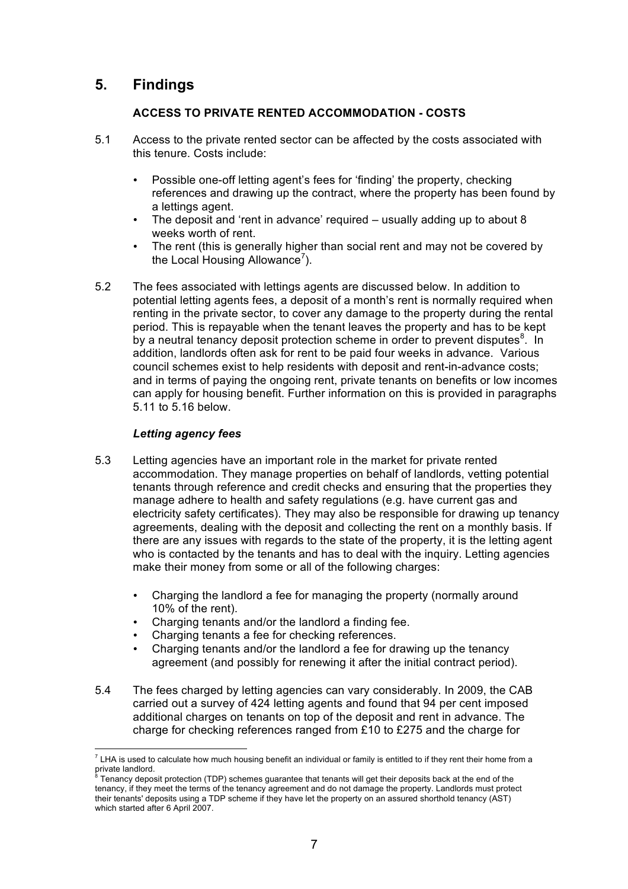## **5. Findings**

## **ACCESS TO PRIVATE RENTED ACCOMMODATION - COSTS**

- 5.1 Access to the private rented sector can be affected by the costs associated with this tenure. Costs include:
	- Possible one-off letting agent's fees for 'finding' the property, checking references and drawing up the contract, where the property has been found by a lettings agent.
	- The deposit and 'rent in advance' required usually adding up to about 8 weeks worth of rent.
	- The rent (this is generally higher than social rent and may not be covered by the Local Housing Allowance<sup>7</sup>).
- 5.2 The fees associated with lettings agents are discussed below. In addition to potential letting agents fees, a deposit of a month's rent is normally required when renting in the private sector, to cover any damage to the property during the rental period. This is repayable when the tenant leaves the property and has to be kept by a neutral tenancy deposit protection scheme in order to prevent disputes ${}^{8}$ . In addition, landlords often ask for rent to be paid four weeks in advance. Various council schemes exist to help residents with deposit and rent-in-advance costs; and in terms of paying the ongoing rent, private tenants on benefits or low incomes can apply for housing benefit. Further information on this is provided in paragraphs 5.11 to 5.16 below.

## *Letting agency fees*

- 5.3 Letting agencies have an important role in the market for private rented accommodation. They manage properties on behalf of landlords, vetting potential tenants through reference and credit checks and ensuring that the properties they manage adhere to health and safety regulations (e.g. have current gas and electricity safety certificates). They may also be responsible for drawing up tenancy agreements, dealing with the deposit and collecting the rent on a monthly basis. If there are any issues with regards to the state of the property, it is the letting agent who is contacted by the tenants and has to deal with the inquiry. Letting agencies make their money from some or all of the following charges:
	- Charging the landlord a fee for managing the property (normally around 10% of the rent).
	- Charging tenants and/or the landlord a finding fee.
	- Charging tenants a fee for checking references.
	- Charging tenants and/or the landlord a fee for drawing up the tenancy agreement (and possibly for renewing it after the initial contract period).
- 5.4 The fees charged by letting agencies can vary considerably. In 2009, the CAB carried out a survey of 424 letting agents and found that 94 per cent imposed additional charges on tenants on top of the deposit and rent in advance. The charge for checking references ranged from £10 to £275 and the charge for

 $\overline{a}$  $^7$  LHA is used to calculate how much housing benefit an individual or family is entitled to if they rent their home from a private landlord.

Tenancy deposit protection (TDP) schemes guarantee that tenants will get their deposits back at the end of the tenancy, if they meet the terms of the tenancy agreement and do not damage the property. Landlords must protect their tenants' deposits using a TDP scheme if they have let the property on an assured shorthold tenancy (AST) which started after 6 April 2007.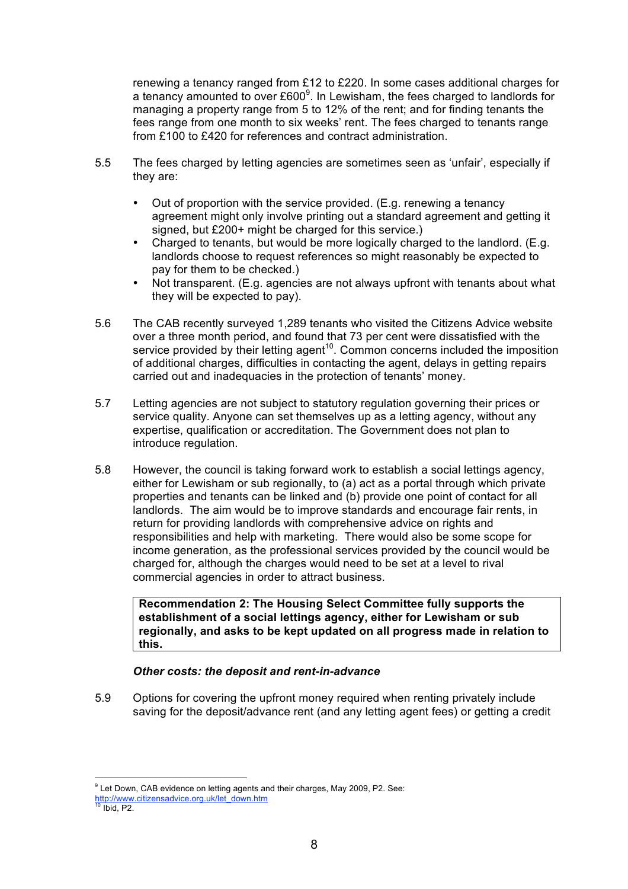renewing a tenancy ranged from £12 to £220. In some cases additional charges for a tenancy amounted to over £600 $^9$ . In Lewisham, the fees charged to landlords for managing a property range from 5 to 12% of the rent; and for finding tenants the fees range from one month to six weeks' rent. The fees charged to tenants range from £100 to £420 for references and contract administration.

- 5.5 The fees charged by letting agencies are sometimes seen as 'unfair', especially if they are:
	- Out of proportion with the service provided. (E.g. renewing a tenancy agreement might only involve printing out a standard agreement and getting it signed, but £200+ might be charged for this service.)
	- Charged to tenants, but would be more logically charged to the landlord. (E.g. landlords choose to request references so might reasonably be expected to pay for them to be checked.)
	- Not transparent. (E.g. agencies are not always upfront with tenants about what they will be expected to pay).
- 5.6 The CAB recently surveyed 1,289 tenants who visited the Citizens Advice website over a three month period, and found that 73 per cent were dissatisfied with the service provided by their letting agent<sup>10</sup>. Common concerns included the imposition of additional charges, difficulties in contacting the agent, delays in getting repairs carried out and inadequacies in the protection of tenants' money.
- 5.7 Letting agencies are not subject to statutory regulation governing their prices or service quality. Anyone can set themselves up as a letting agency, without any expertise, qualification or accreditation. The Government does not plan to introduce regulation.
- 5.8 However, the council is taking forward work to establish a social lettings agency, either for Lewisham or sub regionally, to (a) act as a portal through which private properties and tenants can be linked and (b) provide one point of contact for all landlords. The aim would be to improve standards and encourage fair rents, in return for providing landlords with comprehensive advice on rights and responsibilities and help with marketing. There would also be some scope for income generation, as the professional services provided by the council would be charged for, although the charges would need to be set at a level to rival commercial agencies in order to attract business.

**Recommendation 2: The Housing Select Committee fully supports the establishment of a social lettings agency, either for Lewisham or sub regionally, and asks to be kept updated on all progress made in relation to this.**

#### *Other costs: the deposit and rent-in-advance*

5.9 Options for covering the upfront money required when renting privately include saving for the deposit/advance rent (and any letting agent fees) or getting a credit

 $\overline{a}$  $^9$  Let Down, CAB evidence on letting agents and their charges, May 2009, P2. See:

http://www.citizensadvice.org.uk/let\_down.htm <sup>10</sup> Ibid, P2.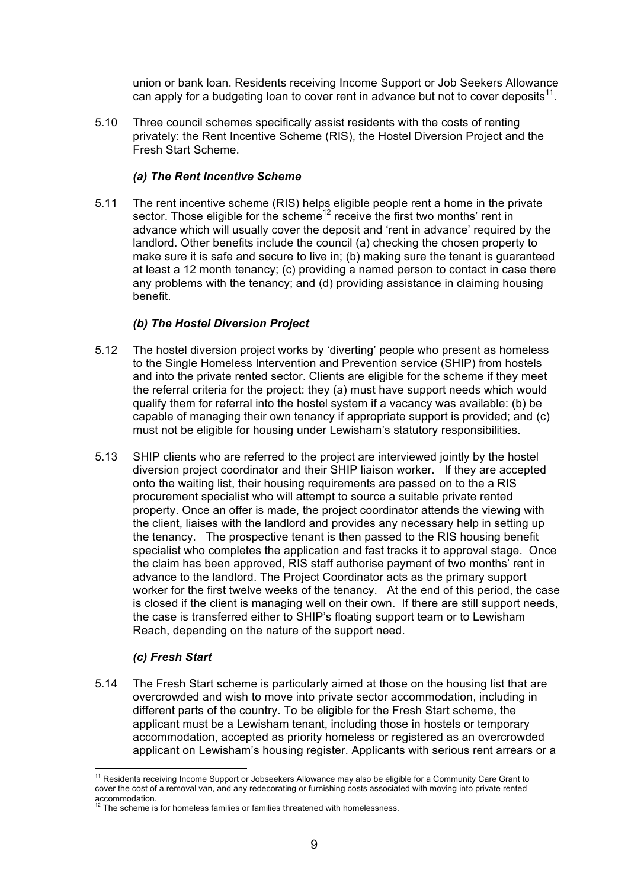union or bank loan. Residents receiving Income Support or Job Seekers Allowance can apply for a budgeting loan to cover rent in advance but not to cover deposits $11$ .

5.10 Three council schemes specifically assist residents with the costs of renting privately: the Rent Incentive Scheme (RIS), the Hostel Diversion Project and the Fresh Start Scheme.

## *(a) The Rent Incentive Scheme*

5.11 The rent incentive scheme (RIS) helps eligible people rent a home in the private sector. Those eligible for the scheme<sup>12</sup> receive the first two months' rent in advance which will usually cover the deposit and 'rent in advance' required by the landlord. Other benefits include the council (a) checking the chosen property to make sure it is safe and secure to live in; (b) making sure the tenant is guaranteed at least a 12 month tenancy; (c) providing a named person to contact in case there any problems with the tenancy; and (d) providing assistance in claiming housing benefit.

## *(b) The Hostel Diversion Project*

- 5.12 The hostel diversion project works by 'diverting' people who present as homeless to the Single Homeless Intervention and Prevention service (SHIP) from hostels and into the private rented sector. Clients are eligible for the scheme if they meet the referral criteria for the project: they (a) must have support needs which would qualify them for referral into the hostel system if a vacancy was available: (b) be capable of managing their own tenancy if appropriate support is provided; and (c) must not be eligible for housing under Lewisham's statutory responsibilities.
- 5.13 SHIP clients who are referred to the project are interviewed jointly by the hostel diversion project coordinator and their SHIP liaison worker. If they are accepted onto the waiting list, their housing requirements are passed on to the a RIS procurement specialist who will attempt to source a suitable private rented property. Once an offer is made, the project coordinator attends the viewing with the client, liaises with the landlord and provides any necessary help in setting up the tenancy. The prospective tenant is then passed to the RIS housing benefit specialist who completes the application and fast tracks it to approval stage. Once the claim has been approved, RIS staff authorise payment of two months' rent in advance to the landlord. The Project Coordinator acts as the primary support worker for the first twelve weeks of the tenancy. At the end of this period, the case is closed if the client is managing well on their own. If there are still support needs, the case is transferred either to SHIP's floating support team or to Lewisham Reach, depending on the nature of the support need.

## *(c) Fresh Start*

 $\overline{a}$ 

5.14 The Fresh Start scheme is particularly aimed at those on the housing list that are overcrowded and wish to move into private sector accommodation, including in different parts of the country. To be eligible for the Fresh Start scheme, the applicant must be a Lewisham tenant, including those in hostels or temporary accommodation, accepted as priority homeless or registered as an overcrowded applicant on Lewisham's housing register. Applicants with serious rent arrears or a

 $11$  Residents receiving Income Support or Jobseekers Allowance may also be eligible for a Community Care Grant to cover the cost of a removal van, and any redecorating or furnishing costs associated with moving into private rented accommodation.

The scheme is for homeless families or families threatened with homelessness.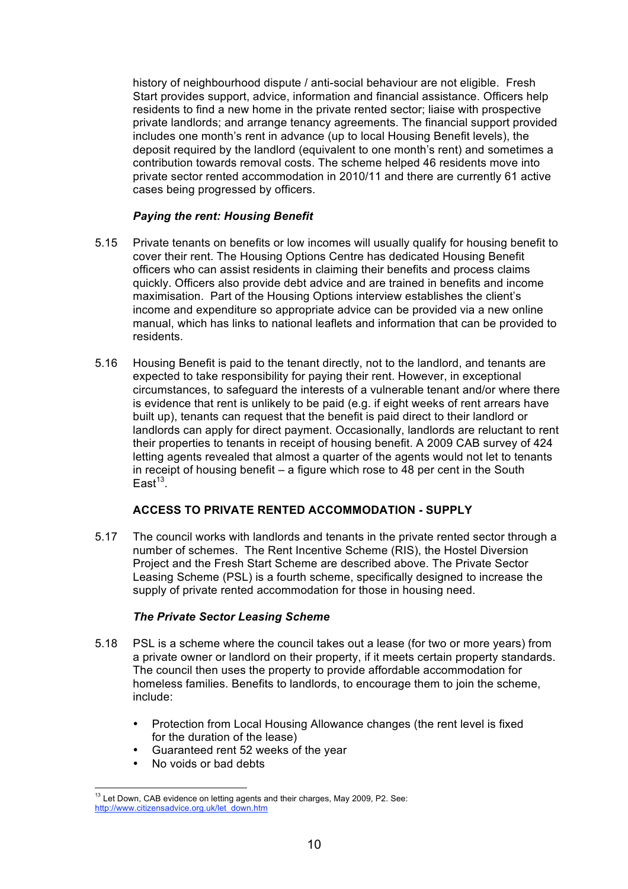history of neighbourhood dispute / anti-social behaviour are not eligible. Fresh Start provides support, advice, information and financial assistance. Officers help residents to find a new home in the private rented sector; liaise with prospective private landlords; and arrange tenancy agreements. The financial support provided includes one month's rent in advance (up to local Housing Benefit levels), the deposit required by the landlord (equivalent to one month's rent) and sometimes a contribution towards removal costs. The scheme helped 46 residents move into private sector rented accommodation in 2010/11 and there are currently 61 active cases being progressed by officers.

## *Paying the rent: Housing Benefit*

- 5.15 Private tenants on benefits or low incomes will usually qualify for housing benefit to cover their rent. The Housing Options Centre has dedicated Housing Benefit officers who can assist residents in claiming their benefits and process claims quickly. Officers also provide debt advice and are trained in benefits and income maximisation. Part of the Housing Options interview establishes the client's income and expenditure so appropriate advice can be provided via a new online manual, which has links to national leaflets and information that can be provided to residents.
- 5.16 Housing Benefit is paid to the tenant directly, not to the landlord, and tenants are expected to take responsibility for paying their rent. However, in exceptional circumstances, to safeguard the interests of a vulnerable tenant and/or where there is evidence that rent is unlikely to be paid (e.g. if eight weeks of rent arrears have built up), tenants can request that the benefit is paid direct to their landlord or landlords can apply for direct payment. Occasionally, landlords are reluctant to rent their properties to tenants in receipt of housing benefit. A 2009 CAB survey of 424 letting agents revealed that almost a quarter of the agents would not let to tenants in receipt of housing benefit – a figure which rose to 48 per cent in the South  $East<sup>13</sup>$ .

## **ACCESS TO PRIVATE RENTED ACCOMMODATION - SUPPLY**

5.17 The council works with landlords and tenants in the private rented sector through a number of schemes. The Rent Incentive Scheme (RIS), the Hostel Diversion Project and the Fresh Start Scheme are described above. The Private Sector Leasing Scheme (PSL) is a fourth scheme, specifically designed to increase the supply of private rented accommodation for those in housing need.

## *The Private Sector Leasing Scheme*

- 5.18 PSL is a scheme where the council takes out a lease (for two or more years) from a private owner or landlord on their property, if it meets certain property standards. The council then uses the property to provide affordable accommodation for homeless families. Benefits to landlords, to encourage them to join the scheme, include:
	- Protection from Local Housing Allowance changes (the rent level is fixed for the duration of the lease)
	- Guaranteed rent 52 weeks of the year
	- No voids or bad debts

 $13$  Let Down, CAB evidence on letting agents and their charges, May 2009, P2. See: http://www.citizensadvice.org.uk/let\_down.htm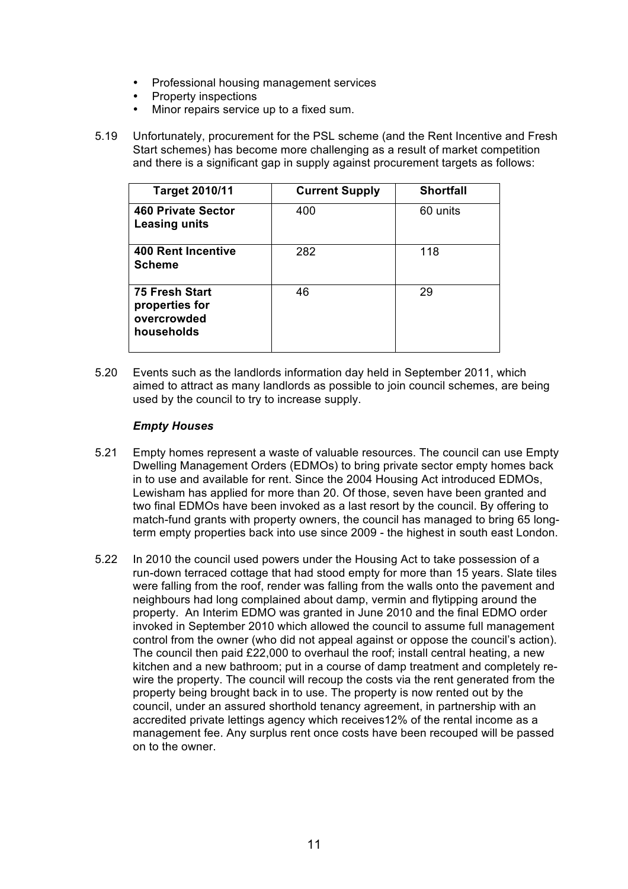- Professional housing management services
- Property inspections
- Minor repairs service up to a fixed sum.
- 5.19 Unfortunately, procurement for the PSL scheme (and the Rent Incentive and Fresh Start schemes) has become more challenging as a result of market competition and there is a significant gap in supply against procurement targets as follows:

| <b>Target 2010/11</b>                                         | <b>Current Supply</b> | <b>Shortfall</b> |
|---------------------------------------------------------------|-----------------------|------------------|
| <b>460 Private Sector</b><br>Leasing units                    | 400                   | 60 units         |
| <b>400 Rent Incentive</b><br><b>Scheme</b>                    | 282                   | 118              |
| 75 Fresh Start<br>properties for<br>overcrowded<br>households | 46                    | 29               |

5.20 Events such as the landlords information day held in September 2011, which aimed to attract as many landlords as possible to join council schemes, are being used by the council to try to increase supply.

## *Empty Houses*

- 5.21 Empty homes represent a waste of valuable resources. The council can use Empty Dwelling Management Orders (EDMOs) to bring private sector empty homes back in to use and available for rent. Since the 2004 Housing Act introduced EDMOs, Lewisham has applied for more than 20. Of those, seven have been granted and two final EDMOs have been invoked as a last resort by the council. By offering to match-fund grants with property owners, the council has managed to bring 65 longterm empty properties back into use since 2009 - the highest in south east London.
- 5.22 In 2010 the council used powers under the Housing Act to take possession of a run-down terraced cottage that had stood empty for more than 15 years. Slate tiles were falling from the roof, render was falling from the walls onto the pavement and neighbours had long complained about damp, vermin and flytipping around the property. An Interim EDMO was granted in June 2010 and the final EDMO order invoked in September 2010 which allowed the council to assume full management control from the owner (who did not appeal against or oppose the council's action). The council then paid £22,000 to overhaul the roof; install central heating, a new kitchen and a new bathroom; put in a course of damp treatment and completely rewire the property. The council will recoup the costs via the rent generated from the property being brought back in to use. The property is now rented out by the council, under an assured shorthold tenancy agreement, in partnership with an accredited private lettings agency which receives12% of the rental income as a management fee. Any surplus rent once costs have been recouped will be passed on to the owner.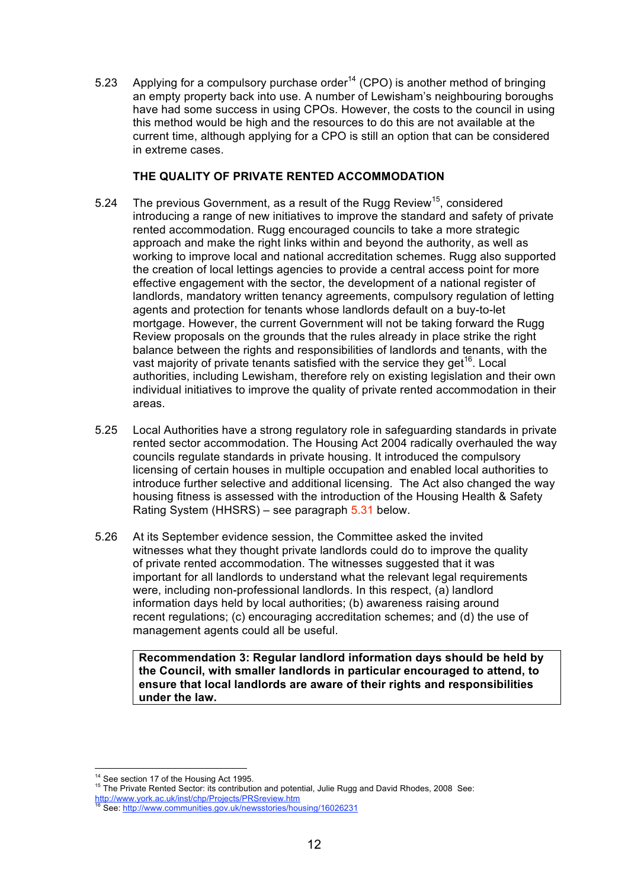5.23 Applying for a compulsory purchase order<sup>14</sup> (CPO) is another method of bringing an empty property back into use. A number of Lewisham's neighbouring boroughs have had some success in using CPOs. However, the costs to the council in using this method would be high and the resources to do this are not available at the current time, although applying for a CPO is still an option that can be considered in extreme cases.

## **THE QUALITY OF PRIVATE RENTED ACCOMMODATION**

- 5.24 The previous Government, as a result of the Rugg Review<sup>15</sup>, considered introducing a range of new initiatives to improve the standard and safety of private rented accommodation. Rugg encouraged councils to take a more strategic approach and make the right links within and beyond the authority, as well as working to improve local and national accreditation schemes. Rugg also supported the creation of local lettings agencies to provide a central access point for more effective engagement with the sector, the development of a national register of landlords, mandatory written tenancy agreements, compulsory regulation of letting agents and protection for tenants whose landlords default on a buy-to-let mortgage. However, the current Government will not be taking forward the Rugg Review proposals on the grounds that the rules already in place strike the right balance between the rights and responsibilities of landlords and tenants, with the vast majority of private tenants satisfied with the service they get<sup>16</sup>. Local authorities, including Lewisham, therefore rely on existing legislation and their own individual initiatives to improve the quality of private rented accommodation in their areas.
- 5.25 Local Authorities have a strong regulatory role in safeguarding standards in private rented sector accommodation. The Housing Act 2004 radically overhauled the way councils regulate standards in private housing. It introduced the compulsory licensing of certain houses in multiple occupation and enabled local authorities to introduce further selective and additional licensing. The Act also changed the way housing fitness is assessed with the introduction of the Housing Health & Safety Rating System (HHSRS) – see paragraph 5.31 below.
- 5.26 At its September evidence session, the Committee asked the invited witnesses what they thought private landlords could do to improve the quality of private rented accommodation. The witnesses suggested that it was important for all landlords to understand what the relevant legal requirements were, including non-professional landlords. In this respect, (a) landlord information days held by local authorities; (b) awareness raising around recent regulations; (c) encouraging accreditation schemes; and (d) the use of management agents could all be useful.

**Recommendation 3: Regular landlord information days should be held by the Council, with smaller landlords in particular encouraged to attend, to ensure that local landlords are aware of their rights and responsibilities under the law.** 

 $\overline{a}$ 

<sup>14</sup> See section 17 of the Housing Act 1995.<br>15 The Private Rented Sector: its contribution and potential, Julie Rugg and David Rhodes, 2008 See: http://www.york.ac.uk/inst/chp/Projects/PRSreview.htm

<sup>16</sup> See: http://www.communities.gov.uk/newsstories/housing/16026231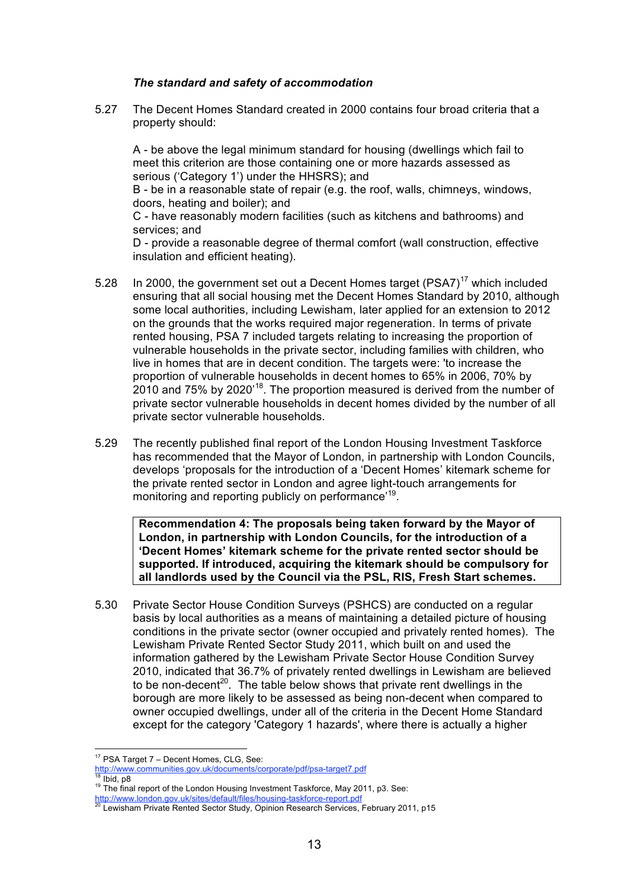#### *The standard and safety of accommodation*

5.27 The Decent Homes Standard created in 2000 contains four broad criteria that a property should:

A - be above the legal minimum standard for housing (dwellings which fail to meet this criterion are those containing one or more hazards assessed as serious ('Category 1') under the HHSRS); and

B - be in a reasonable state of repair (e.g. the roof, walls, chimneys, windows, doors, heating and boiler); and

C - have reasonably modern facilities (such as kitchens and bathrooms) and services; and

D - provide a reasonable degree of thermal comfort (wall construction, effective insulation and efficient heating).

- 5.28 In 2000, the government set out a Decent Homes target  $(PSA7)^{17}$  which included ensuring that all social housing met the Decent Homes Standard by 2010, although some local authorities, including Lewisham, later applied for an extension to 2012 on the grounds that the works required major regeneration. In terms of private rented housing, PSA 7 included targets relating to increasing the proportion of vulnerable households in the private sector, including families with children, who live in homes that are in decent condition. The targets were: 'to increase the proportion of vulnerable households in decent homes to 65% in 2006, 70% by 2010 and 75% by 2020'18. The proportion measured is derived from the number of private sector vulnerable households in decent homes divided by the number of all private sector vulnerable households.
- 5.29 The recently published final report of the London Housing Investment Taskforce has recommended that the Mayor of London, in partnership with London Councils, develops 'proposals for the introduction of a 'Decent Homes' kitemark scheme for the private rented sector in London and agree light-touch arrangements for monitoring and reporting publicly on performance'<sup>19</sup>.

**Recommendation 4: The proposals being taken forward by the Mayor of London, in partnership with London Councils, for the introduction of a 'Decent Homes' kitemark scheme for the private rented sector should be supported. If introduced, acquiring the kitemark should be compulsory for all landlords used by the Council via the PSL, RIS, Fresh Start schemes.**

5.30 Private Sector House Condition Surveys (PSHCS) are conducted on a regular basis by local authorities as a means of maintaining a detailed picture of housing conditions in the private sector (owner occupied and privately rented homes). The Lewisham Private Rented Sector Study 2011, which built on and used the information gathered by the Lewisham Private Sector House Condition Survey 2010, indicated that 36.7% of privately rented dwellings in Lewisham are believed to be non-decent<sup>20</sup>. The table below shows that private rent dwellings in the borough are more likely to be assessed as being non-decent when compared to owner occupied dwellings, under all of the criteria in the Decent Home Standard except for the category 'Category 1 hazards', where there is actually a higher

 $\overline{a}$  $17$  PSA Target  $7$  – Decent Homes, CLG, See:

http://www.communities.gov.uk/documents/corporate/pdf/psa-target7.pdf<br><sup>18</sup> Ibid, p8<br><sup>19</sup> The final report of the London Housing Investment Taskforce, May 2011, p3. See:<br>http://www.london.gov.uk/sites/default/files/housing-

Lewisham Private Rented Sector Study, Opinion Research Services, February 2011, p15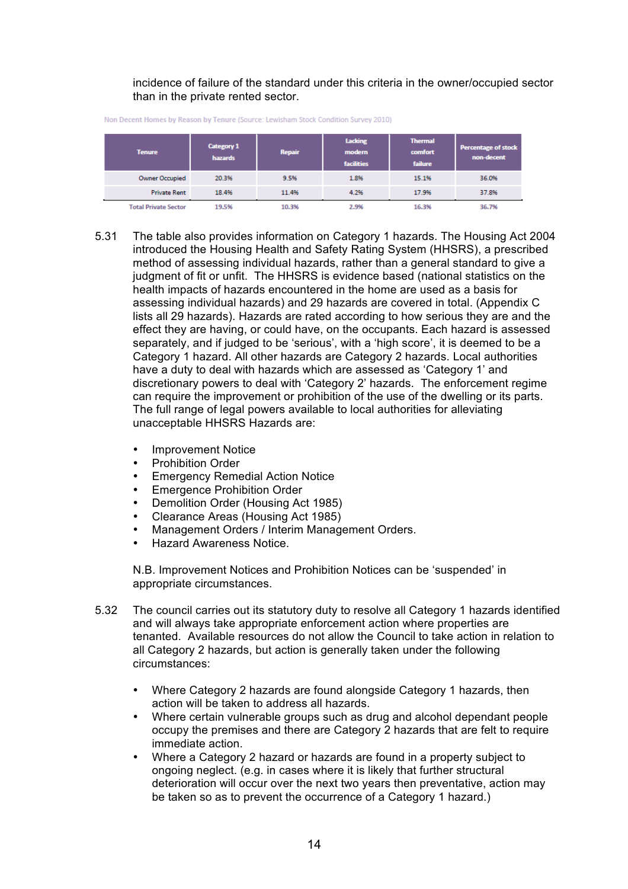incidence of failure of the standard under this criteria in the owner/occupied sector than in the private rented sector.

| <b>Tenure</b>               | <b>Category 1</b><br>hazards | <b>Repair</b> | Lacking<br>modern<br><b>facilities</b> | <b>Thermal</b><br>comfort<br>failure | <b>Percentage of stock</b><br>non-decent |
|-----------------------------|------------------------------|---------------|----------------------------------------|--------------------------------------|------------------------------------------|
| <b>Owner Occupied</b>       | 20.3%                        | 9.5%          | 1.8%                                   | 15.1%                                | 36.0%                                    |
| <b>Private Rent</b>         | 18.4%                        | 11.4%         | 4.2%                                   | 17.9%                                | 37.8%                                    |
| <b>Total Private Sector</b> | 19.5%                        | 10.3%         | 2.9%                                   | 16.3%                                | 36.7%                                    |

Non Decent Homes by Reason by Tenure (Source: Lewisham Stock Condition Survey 2010)

- 5.31 The table also provides information on Category 1 hazards. The Housing Act 2004 introduced the Housing Health and Safety Rating System (HHSRS), a prescribed method of assessing individual hazards, rather than a general standard to give a judgment of fit or unfit. The HHSRS is evidence based (national statistics on the health impacts of hazards encountered in the home are used as a basis for assessing individual hazards) and 29 hazards are covered in total. (Appendix C lists all 29 hazards). Hazards are rated according to how serious they are and the effect they are having, or could have, on the occupants. Each hazard is assessed separately, and if judged to be 'serious', with a 'high score', it is deemed to be a Category 1 hazard. All other hazards are Category 2 hazards. Local authorities have a duty to deal with hazards which are assessed as 'Category 1' and discretionary powers to deal with 'Category 2' hazards. The enforcement regime can require the improvement or prohibition of the use of the dwelling or its parts. The full range of legal powers available to local authorities for alleviating unacceptable HHSRS Hazards are:
	- Improvement Notice
	- Prohibition Order
	- Emergency Remedial Action Notice
	- **Emergence Prohibition Order**
	- Demolition Order (Housing Act 1985)
	- Clearance Areas (Housing Act 1985)
	- Management Orders / Interim Management Orders.
	- Hazard Awareness Notice.

N.B. Improvement Notices and Prohibition Notices can be 'suspended' in appropriate circumstances.

- 5.32 The council carries out its statutory duty to resolve all Category 1 hazards identified and will always take appropriate enforcement action where properties are tenanted. Available resources do not allow the Council to take action in relation to all Category 2 hazards, but action is generally taken under the following circumstances:
	- Where Category 2 hazards are found alongside Category 1 hazards, then action will be taken to address all hazards.
	- Where certain vulnerable groups such as drug and alcohol dependant people occupy the premises and there are Category 2 hazards that are felt to require immediate action.
	- Where a Category 2 hazard or hazards are found in a property subject to ongoing neglect. (e.g. in cases where it is likely that further structural deterioration will occur over the next two years then preventative, action may be taken so as to prevent the occurrence of a Category 1 hazard.)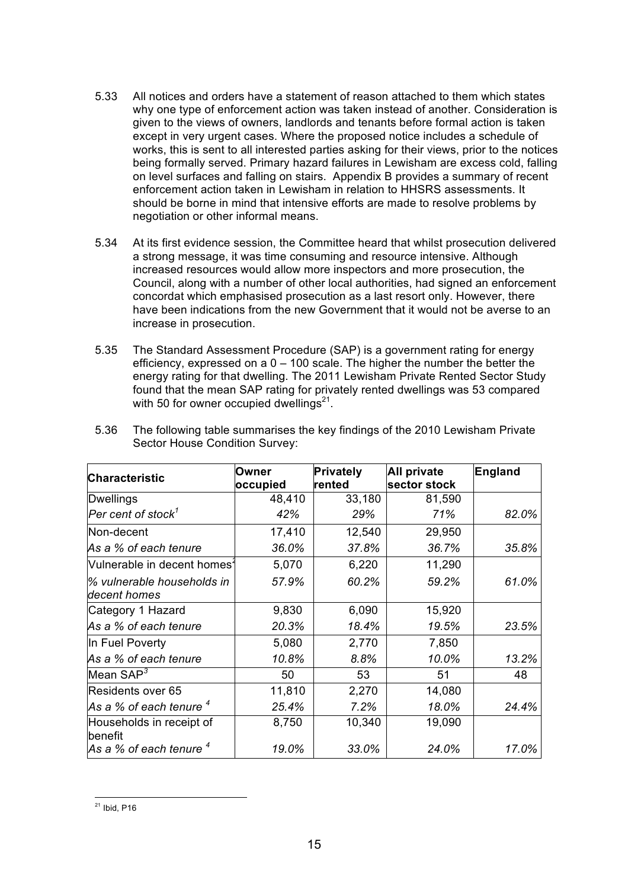- 5.33 All notices and orders have a statement of reason attached to them which states why one type of enforcement action was taken instead of another. Consideration is given to the views of owners, landlords and tenants before formal action is taken except in very urgent cases. Where the proposed notice includes a schedule of works, this is sent to all interested parties asking for their views, prior to the notices being formally served. Primary hazard failures in Lewisham are excess cold, falling on level surfaces and falling on stairs. Appendix B provides a summary of recent enforcement action taken in Lewisham in relation to HHSRS assessments. It should be borne in mind that intensive efforts are made to resolve problems by negotiation or other informal means.
- 5.34 At its first evidence session, the Committee heard that whilst prosecution delivered a strong message, it was time consuming and resource intensive. Although increased resources would allow more inspectors and more prosecution, the Council, along with a number of other local authorities, had signed an enforcement concordat which emphasised prosecution as a last resort only. However, there have been indications from the new Government that it would not be averse to an increase in prosecution.
- 5.35 The Standard Assessment Procedure (SAP) is a government rating for energy efficiency, expressed on a  $0 - 100$  scale. The higher the number the better the energy rating for that dwelling. The 2011 Lewisham Private Rented Sector Study found that the mean SAP rating for privately rented dwellings was 53 compared with 50 for owner occupied dwellings $21$ .

| <b>Characteristic</b>                      | Owner    | Privately | <b>All private</b> | <b>England</b> |
|--------------------------------------------|----------|-----------|--------------------|----------------|
|                                            | occupied | rented    | sector stock       |                |
| Dwellings                                  | 48,410   | 33,180    | 81,590             |                |
| $\,$ Per cent of stock $^{\prime}$         | 42%      | 29%       | 71%                | 82.0%          |
| Non-decent                                 | 17,410   | 12,540    | 29,950             |                |
| As a % of each tenure                      | 36.0%    | 37.8%     | 36.7%              | 35.8%          |
| Vulnerable in decent homes <sup>2</sup>    | 5,070    | 6,220     | 11,290             |                |
| % vulnerable households in<br>decent homes | 57.9%    | 60.2%     | 59.2%              | 61.0%          |
| Category 1 Hazard                          | 9,830    | 6,090     | 15,920             |                |
| As a % of each tenure                      | 20.3%    | 18.4%     | 19.5%              | 23.5%          |
| In Fuel Poverty                            | 5,080    | 2,770     | 7,850              |                |
| As a % of each tenure                      | 10.8%    | 8.8%      | 10.0%              | 13.2%          |
| Mean $\textsf{SAP}^3$                      | 50       | 53        | 51                 | 48             |
| Residents over 65                          | 11,810   | 2,270     | 14,080             |                |
| As a % of each tenure $^4$                 | 25.4%    | 7.2%      | 18.0%              | 24.4%          |
| Households in receipt of<br>benefit        | 8,750    | 10,340    | 19,090             |                |
| As a % of each tenure $4$                  | 19.0%    | 33.0%     | 24.0%              | 17.0%          |

5.36 The following table summarises the key findings of the 2010 Lewisham Private Sector House Condition Survey: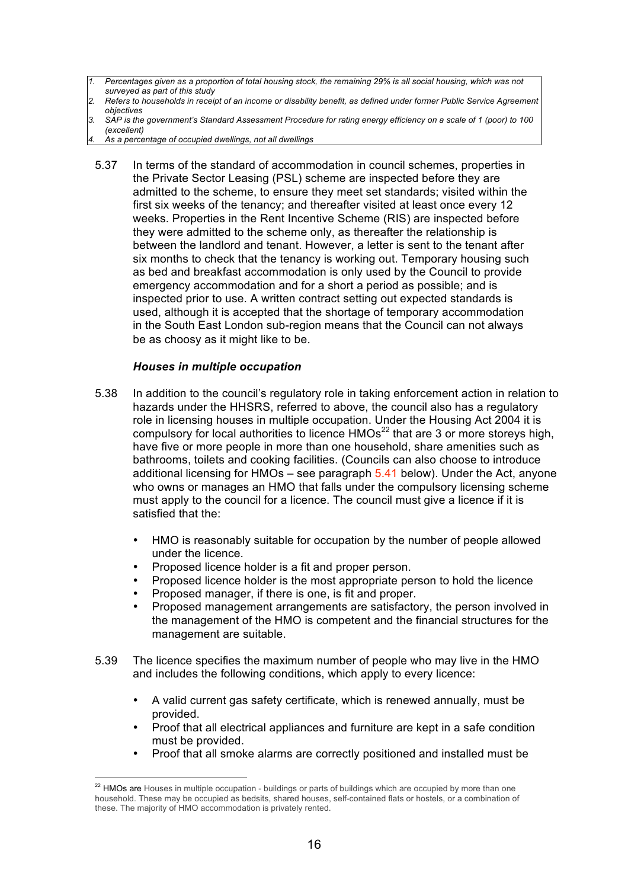- *1. Percentages given as a proportion of total housing stock, the remaining 29% is all social housing, which was not surveyed as part of this study*
- *2. Refers to households in receipt of an income or disability benefit, as defined under former Public Service Agreement 7 objectives*
- *3. SAP is the government's Standard Assessment Procedure for rating energy efficiency on a scale of 1 (poor) to 100 (excellent)*
- *4. As a percentage of occupied dwellings, not all dwellings*
- 5.37 In terms of the standard of accommodation in council schemes, properties in the Private Sector Leasing (PSL) scheme are inspected before they are admitted to the scheme, to ensure they meet set standards; visited within the first six weeks of the tenancy; and thereafter visited at least once every 12 weeks. Properties in the Rent Incentive Scheme (RIS) are inspected before they were admitted to the scheme only, as thereafter the relationship is between the landlord and tenant. However, a letter is sent to the tenant after six months to check that the tenancy is working out. Temporary housing such as bed and breakfast accommodation is only used by the Council to provide emergency accommodation and for a short a period as possible; and is inspected prior to use. A written contract setting out expected standards is used, although it is accepted that the shortage of temporary accommodation in the South East London sub-region means that the Council can not always be as choosy as it might like to be.

## *Houses in multiple occupation*

 $\overline{a}$ 

- 5.38 In addition to the council's regulatory role in taking enforcement action in relation to hazards under the HHSRS, referred to above, the council also has a regulatory role in licensing houses in multiple occupation. Under the Housing Act 2004 it is compulsory for local authorities to licence  $HMOs<sup>22</sup>$  that are 3 or more storeys high, have five or more people in more than one household, share amenities such as bathrooms, toilets and cooking facilities. (Councils can also choose to introduce additional licensing for HMOs – see paragraph  $5.41$  below). Under the Act, anyone who owns or manages an HMO that falls under the compulsory licensing scheme must apply to the council for a licence. The council must give a licence if it is satisfied that the:
	- HMO is reasonably suitable for occupation by the number of people allowed under the licence.
	- Proposed licence holder is a fit and proper person.
	- Proposed licence holder is the most appropriate person to hold the licence
	- Proposed manager, if there is one, is fit and proper.
	- Proposed management arrangements are satisfactory, the person involved in the management of the HMO is competent and the financial structures for the management are suitable.
- 5.39 The licence specifies the maximum number of people who may live in the HMO and includes the following conditions, which apply to every licence:
	- A valid current gas safety certificate, which is renewed annually, must be provided.
	- Proof that all electrical appliances and furniture are kept in a safe condition must be provided.
	- Proof that all smoke alarms are correctly positioned and installed must be

 $^{22}$  HMOs are Houses in multiple occupation - buildings or parts of buildings which are occupied by more than one household. These may be occupied as bedsits, shared houses, self-contained flats or hostels, or a combination of these. The majority of HMO accommodation is privately rented.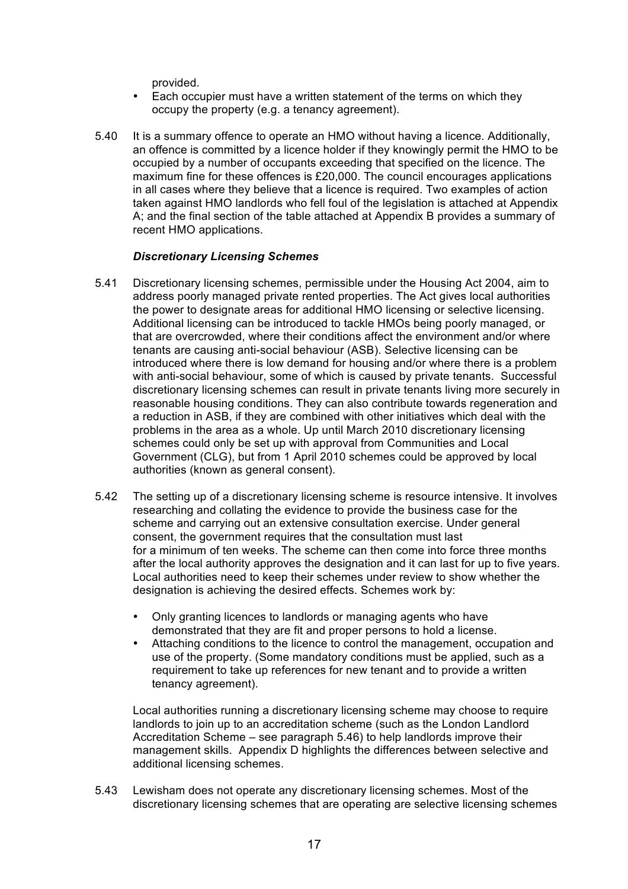provided.

- Each occupier must have a written statement of the terms on which they occupy the property (e.g. a tenancy agreement).
- 5.40 It is a summary offence to operate an HMO without having a licence. Additionally, an offence is committed by a licence holder if they knowingly permit the HMO to be occupied by a number of occupants exceeding that specified on the licence. The maximum fine for these offences is £20,000. The council encourages applications in all cases where they believe that a licence is required. Two examples of action taken against HMO landlords who fell foul of the legislation is attached at Appendix A; and the final section of the table attached at Appendix B provides a summary of recent HMO applications.

## *Discretionary Licensing Schemes*

- 5.41 Discretionary licensing schemes, permissible under the Housing Act 2004, aim to address poorly managed private rented properties. The Act gives local authorities the power to designate areas for additional HMO licensing or selective licensing. Additional licensing can be introduced to tackle HMOs being poorly managed, or that are overcrowded, where their conditions affect the environment and/or where tenants are causing anti-social behaviour (ASB). Selective licensing can be introduced where there is low demand for housing and/or where there is a problem with anti-social behaviour, some of which is caused by private tenants. Successful discretionary licensing schemes can result in private tenants living more securely in reasonable housing conditions. They can also contribute towards regeneration and a reduction in ASB, if they are combined with other initiatives which deal with the problems in the area as a whole. Up until March 2010 discretionary licensing schemes could only be set up with approval from Communities and Local Government (CLG), but from 1 April 2010 schemes could be approved by local authorities (known as general consent).
- 5.42 The setting up of a discretionary licensing scheme is resource intensive. It involves researching and collating the evidence to provide the business case for the scheme and carrying out an extensive consultation exercise. Under general consent, the government requires that the consultation must last for a minimum of ten weeks. The scheme can then come into force three months after the local authority approves the designation and it can last for up to five years. Local authorities need to keep their schemes under review to show whether the designation is achieving the desired effects. Schemes work by:
	- Only granting licences to landlords or managing agents who have demonstrated that they are fit and proper persons to hold a license.
	- Attaching conditions to the licence to control the management, occupation and use of the property. (Some mandatory conditions must be applied, such as a requirement to take up references for new tenant and to provide a written tenancy agreement).

Local authorities running a discretionary licensing scheme may choose to require landlords to join up to an accreditation scheme (such as the London Landlord Accreditation Scheme – see paragraph 5.46) to help landlords improve their management skills. Appendix D highlights the differences between selective and additional licensing schemes.

5.43 Lewisham does not operate any discretionary licensing schemes. Most of the discretionary licensing schemes that are operating are selective licensing schemes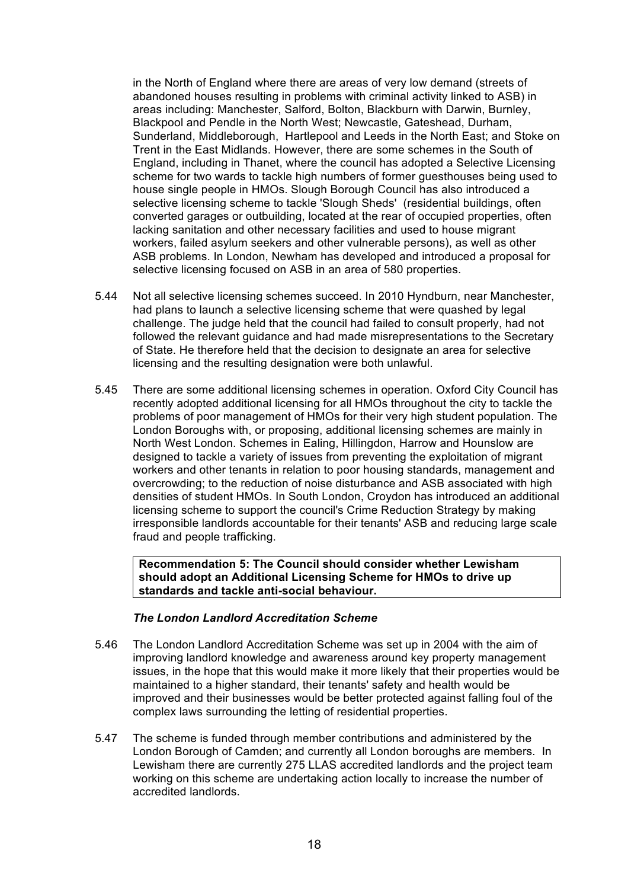in the North of England where there are areas of very low demand (streets of abandoned houses resulting in problems with criminal activity linked to ASB) in areas including: Manchester, Salford, Bolton, Blackburn with Darwin, Burnley, Blackpool and Pendle in the North West; Newcastle, Gateshead, Durham, Sunderland, Middleborough, Hartlepool and Leeds in the North East; and Stoke on Trent in the East Midlands. However, there are some schemes in the South of England, including in Thanet, where the council has adopted a Selective Licensing scheme for two wards to tackle high numbers of former guesthouses being used to house single people in HMOs. Slough Borough Council has also introduced a selective licensing scheme to tackle 'Slough Sheds' (residential buildings, often converted garages or outbuilding, located at the rear of occupied properties, often lacking sanitation and other necessary facilities and used to house migrant workers, failed asylum seekers and other vulnerable persons), as well as other ASB problems. In London, Newham has developed and introduced a proposal for selective licensing focused on ASB in an area of 580 properties.

- 5.44 Not all selective licensing schemes succeed. In 2010 Hyndburn, near Manchester, had plans to launch a selective licensing scheme that were quashed by legal challenge. The judge held that the council had failed to consult properly, had not followed the relevant guidance and had made misrepresentations to the Secretary of State. He therefore held that the decision to designate an area for selective licensing and the resulting designation were both unlawful.
- 5.45 There are some additional licensing schemes in operation. Oxford City Council has recently adopted additional licensing for all HMOs throughout the city to tackle the problems of poor management of HMOs for their very high student population. The London Boroughs with, or proposing, additional licensing schemes are mainly in North West London. Schemes in Ealing, Hillingdon, Harrow and Hounslow are designed to tackle a variety of issues from preventing the exploitation of migrant workers and other tenants in relation to poor housing standards, management and overcrowding; to the reduction of noise disturbance and ASB associated with high densities of student HMOs. In South London, Croydon has introduced an additional licensing scheme to support the council's Crime Reduction Strategy by making irresponsible landlords accountable for their tenants' ASB and reducing large scale fraud and people trafficking.

**Recommendation 5: The Council should consider whether Lewisham should adopt an Additional Licensing Scheme for HMOs to drive up standards and tackle anti-social behaviour.**

## *The London Landlord Accreditation Scheme*

- 5.46 The London Landlord Accreditation Scheme was set up in 2004 with the aim of improving landlord knowledge and awareness around key property management issues, in the hope that this would make it more likely that their properties would be maintained to a higher standard, their tenants' safety and health would be improved and their businesses would be better protected against falling foul of the complex laws surrounding the letting of residential properties.
- 5.47 The scheme is funded through member contributions and administered by the London Borough of Camden; and currently all London boroughs are members. In Lewisham there are currently 275 LLAS accredited landlords and the project team working on this scheme are undertaking action locally to increase the number of accredited landlords.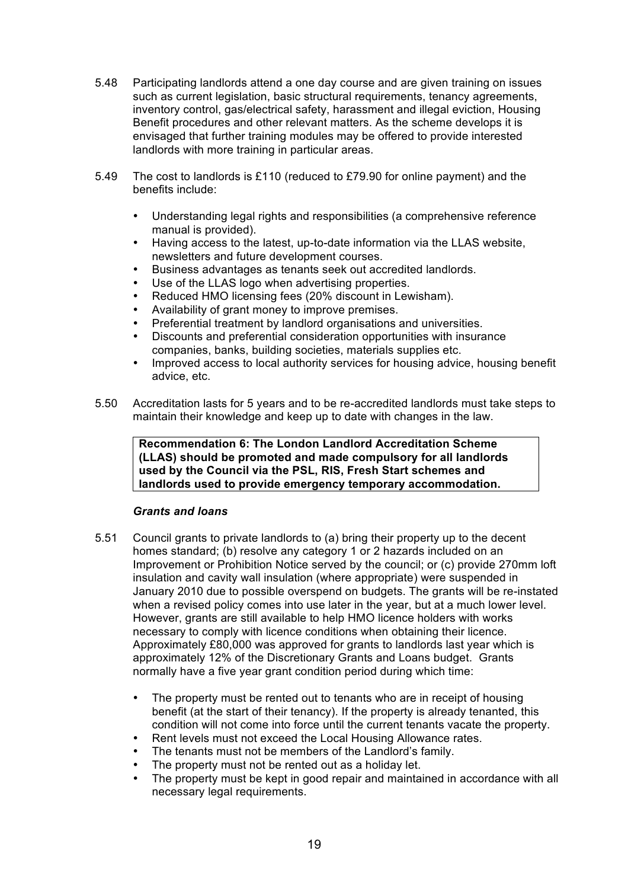- 5.48 Participating landlords attend a one day course and are given training on issues such as current legislation, basic structural requirements, tenancy agreements, inventory control, gas/electrical safety, harassment and illegal eviction, Housing Benefit procedures and other relevant matters. As the scheme develops it is envisaged that further training modules may be offered to provide interested landlords with more training in particular areas.
- 5.49 The cost to landlords is £110 (reduced to £79.90 for online payment) and the benefits include:
	- Understanding legal rights and responsibilities (a comprehensive reference manual is provided).
	- Having access to the latest, up-to-date information via the LLAS website, newsletters and future development courses.
	- Business advantages as tenants seek out accredited landlords.
	- Use of the LLAS logo when advertising properties.
	- Reduced HMO licensing fees (20% discount in Lewisham).
	- Availability of grant money to improve premises.
	- Preferential treatment by landlord organisations and universities.
	- Discounts and preferential consideration opportunities with insurance companies, banks, building societies, materials supplies etc.
	- Improved access to local authority services for housing advice, housing benefit advice, etc.
- 5.50 Accreditation lasts for 5 years and to be re-accredited landlords must take steps to maintain their knowledge and keep up to date with changes in the law.

**Recommendation 6: The London Landlord Accreditation Scheme (LLAS) should be promoted and made compulsory for all landlords used by the Council via the PSL, RIS, Fresh Start schemes and landlords used to provide emergency temporary accommodation.**

## *Grants and loans*

- 5.51 Council grants to private landlords to (a) bring their property up to the decent homes standard; (b) resolve any category 1 or 2 hazards included on an Improvement or Prohibition Notice served by the council; or (c) provide 270mm loft insulation and cavity wall insulation (where appropriate) were suspended in January 2010 due to possible overspend on budgets. The grants will be re-instated when a revised policy comes into use later in the year, but at a much lower level. However, grants are still available to help HMO licence holders with works necessary to comply with licence conditions when obtaining their licence. Approximately £80,000 was approved for grants to landlords last year which is approximately 12% of the Discretionary Grants and Loans budget. Grants normally have a five year grant condition period during which time:
	- The property must be rented out to tenants who are in receipt of housing benefit (at the start of their tenancy). If the property is already tenanted, this condition will not come into force until the current tenants vacate the property.
	- Rent levels must not exceed the Local Housing Allowance rates.
	- The tenants must not be members of the Landlord's family.
	- The property must not be rented out as a holiday let.
	- The property must be kept in good repair and maintained in accordance with all necessary legal requirements.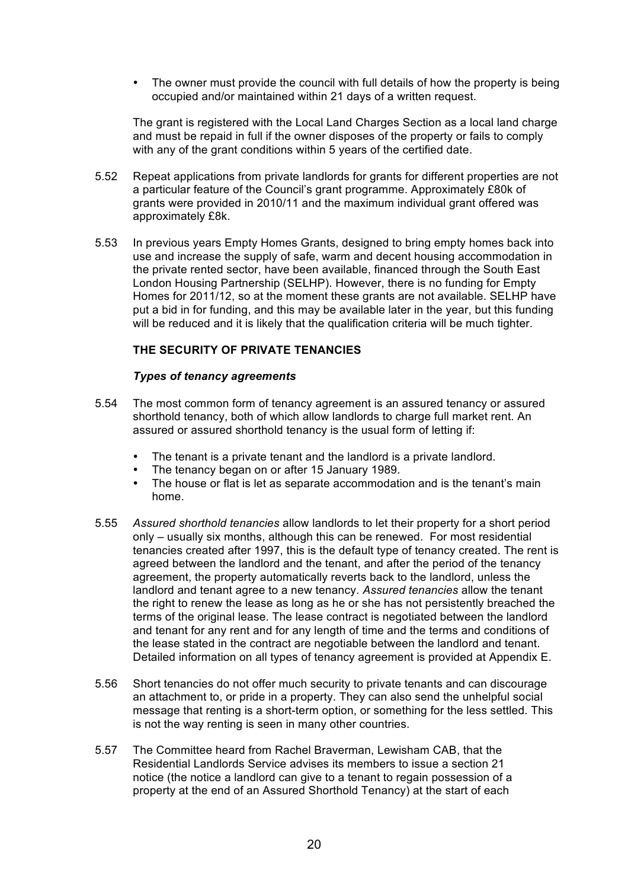• The owner must provide the council with full details of how the property is being occupied and/or maintained within 21 days of a written request.

The grant is registered with the Local Land Charges Section as a local land charge and must be repaid in full if the owner disposes of the property or fails to comply with any of the grant conditions within 5 years of the certified date.

- 5.52 Repeat applications from private landlords for grants for different properties are not a particular feature of the Council's grant programme. Approximately £80k of grants were provided in 2010/11 and the maximum individual grant offered was approximately £8k.
- 5.53 In previous years Empty Homes Grants, designed to bring empty homes back into use and increase the supply of safe, warm and decent housing accommodation in the private rented sector, have been available, financed through the South East London Housing Partnership (SELHP). However, there is no funding for Empty Homes for 2011/12, so at the moment these grants are not available. SELHP have put a bid in for funding, and this may be available later in the year, but this funding will be reduced and it is likely that the qualification criteria will be much tighter.

## **THE SECURITY OF PRIVATE TENANCIES**

## *Types of tenancy agreements*

- 5.54 The most common form of tenancy agreement is an assured tenancy or assured shorthold tenancy, both of which allow landlords to charge full market rent. An assured or assured shorthold tenancy is the usual form of letting if:
	- The tenant is a private tenant and the landlord is a private landlord.
	- The tenancy began on or after 15 January 1989.
	- The house or flat is let as separate accommodation and is the tenant's main home.
- 5.55 *Assured shorthold tenancies* allow landlords to let their property for a short period only – usually six months, although this can be renewed. For most residential tenancies created after 1997, this is the default type of tenancy created. The rent is agreed between the landlord and the tenant, and after the period of the tenancy agreement, the property automatically reverts back to the landlord, unless the landlord and tenant agree to a new tenancy. *Assured tenancies* allow the tenant the right to renew the lease as long as he or she has not persistently breached the terms of the original lease. The lease contract is negotiated between the landlord and tenant for any rent and for any length of time and the terms and conditions of the lease stated in the contract are negotiable between the landlord and tenant. Detailed information on all types of tenancy agreement is provided at Appendix E.
- 5.56 Short tenancies do not offer much security to private tenants and can discourage an attachment to, or pride in a property. They can also send the unhelpful social message that renting is a short-term option, or something for the less settled. This is not the way renting is seen in many other countries.
- 5.57 The Committee heard from Rachel Braverman, Lewisham CAB, that the Residential Landlords Service advises its members to issue a section 21 notice (the notice a landlord can give to a tenant to regain possession of a property at the end of an Assured Shorthold Tenancy) at the start of each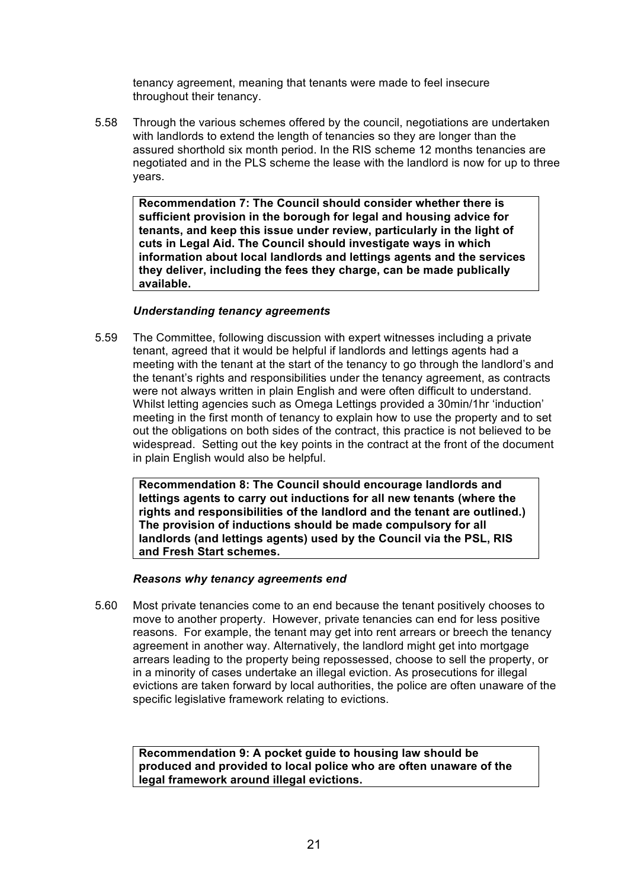tenancy agreement, meaning that tenants were made to feel insecure throughout their tenancy.

5.58 Through the various schemes offered by the council, negotiations are undertaken with landlords to extend the length of tenancies so they are longer than the assured shorthold six month period. In the RIS scheme 12 months tenancies are negotiated and in the PLS scheme the lease with the landlord is now for up to three years.

**Recommendation 7: The Council should consider whether there is sufficient provision in the borough for legal and housing advice for tenants, and keep this issue under review, particularly in the light of cuts in Legal Aid. The Council should investigate ways in which information about local landlords and lettings agents and the services they deliver, including the fees they charge, can be made publically available.**

## *Understanding tenancy agreements*

5.59 The Committee, following discussion with expert witnesses including a private tenant, agreed that it would be helpful if landlords and lettings agents had a meeting with the tenant at the start of the tenancy to go through the landlord's and the tenant's rights and responsibilities under the tenancy agreement, as contracts were not always written in plain English and were often difficult to understand. Whilst letting agencies such as Omega Lettings provided a 30min/1hr 'induction' meeting in the first month of tenancy to explain how to use the property and to set out the obligations on both sides of the contract, this practice is not believed to be widespread. Setting out the key points in the contract at the front of the document in plain English would also be helpful.

**Recommendation 8: The Council should encourage landlords and lettings agents to carry out inductions for all new tenants (where the rights and responsibilities of the landlord and the tenant are outlined.) The provision of inductions should be made compulsory for all landlords (and lettings agents) used by the Council via the PSL, RIS and Fresh Start schemes.**

#### *Reasons why tenancy agreements end*

5.60 Most private tenancies come to an end because the tenant positively chooses to move to another property. However, private tenancies can end for less positive reasons. For example, the tenant may get into rent arrears or breech the tenancy agreement in another way. Alternatively, the landlord might get into mortgage arrears leading to the property being repossessed, choose to sell the property, or in a minority of cases undertake an illegal eviction. As prosecutions for illegal evictions are taken forward by local authorities, the police are often unaware of the specific legislative framework relating to evictions.

**Recommendation 9: A pocket guide to housing law should be produced and provided to local police who are often unaware of the legal framework around illegal evictions.**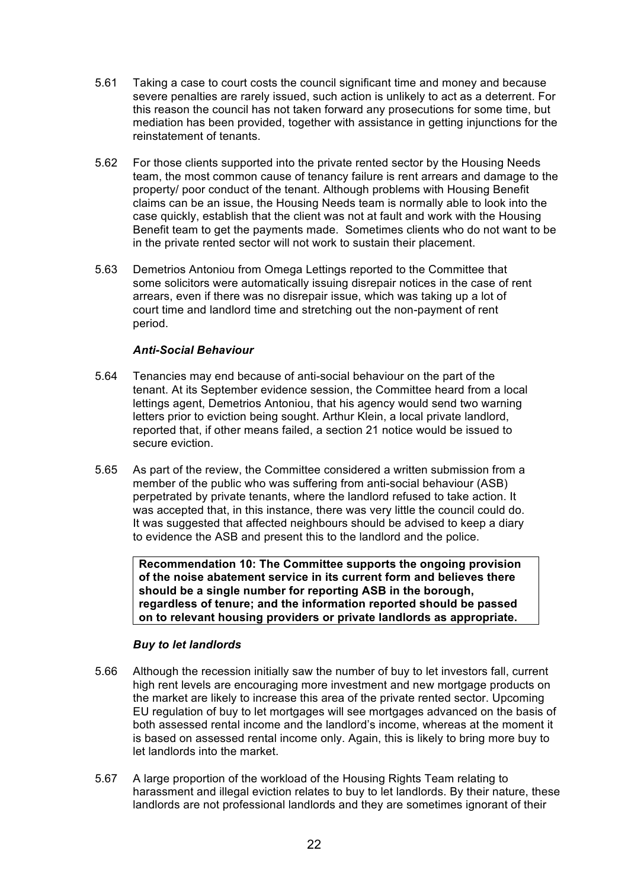- 5.61 Taking a case to court costs the council significant time and money and because severe penalties are rarely issued, such action is unlikely to act as a deterrent. For this reason the council has not taken forward any prosecutions for some time, but mediation has been provided, together with assistance in getting injunctions for the reinstatement of tenants.
- 5.62 For those clients supported into the private rented sector by the Housing Needs team, the most common cause of tenancy failure is rent arrears and damage to the property/ poor conduct of the tenant. Although problems with Housing Benefit claims can be an issue, the Housing Needs team is normally able to look into the case quickly, establish that the client was not at fault and work with the Housing Benefit team to get the payments made. Sometimes clients who do not want to be in the private rented sector will not work to sustain their placement.
- 5.63 Demetrios Antoniou from Omega Lettings reported to the Committee that some solicitors were automatically issuing disrepair notices in the case of rent arrears, even if there was no disrepair issue, which was taking up a lot of court time and landlord time and stretching out the non-payment of rent period.

## *Anti-Social Behaviour*

- 5.64 Tenancies may end because of anti-social behaviour on the part of the tenant. At its September evidence session, the Committee heard from a local lettings agent, Demetrios Antoniou, that his agency would send two warning letters prior to eviction being sought. Arthur Klein, a local private landlord, reported that, if other means failed, a section 21 notice would be issued to secure eviction.
- 5.65 As part of the review, the Committee considered a written submission from a member of the public who was suffering from anti-social behaviour (ASB) perpetrated by private tenants, where the landlord refused to take action. It was accepted that, in this instance, there was very little the council could do. It was suggested that affected neighbours should be advised to keep a diary to evidence the ASB and present this to the landlord and the police.

**Recommendation 10: The Committee supports the ongoing provision of the noise abatement service in its current form and believes there should be a single number for reporting ASB in the borough, regardless of tenure; and the information reported should be passed on to relevant housing providers or private landlords as appropriate.**

## *Buy to let landlords*

- 5.66 Although the recession initially saw the number of buy to let investors fall, current high rent levels are encouraging more investment and new mortgage products on the market are likely to increase this area of the private rented sector. Upcoming EU regulation of buy to let mortgages will see mortgages advanced on the basis of both assessed rental income and the landlord's income, whereas at the moment it is based on assessed rental income only. Again, this is likely to bring more buy to let landlords into the market.
- 5.67 A large proportion of the workload of the Housing Rights Team relating to harassment and illegal eviction relates to buy to let landlords. By their nature, these landlords are not professional landlords and they are sometimes ignorant of their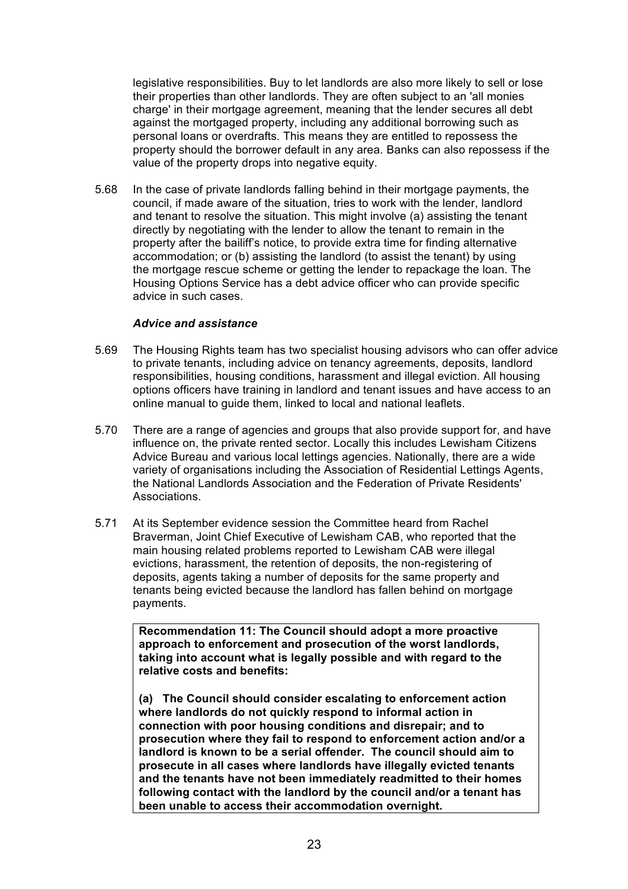legislative responsibilities. Buy to let landlords are also more likely to sell or lose their properties than other landlords. They are often subject to an 'all monies charge' in their mortgage agreement, meaning that the lender secures all debt against the mortgaged property, including any additional borrowing such as personal loans or overdrafts. This means they are entitled to repossess the property should the borrower default in any area. Banks can also repossess if the value of the property drops into negative equity.

5.68 In the case of private landlords falling behind in their mortgage payments, the council, if made aware of the situation, tries to work with the lender, landlord and tenant to resolve the situation. This might involve (a) assisting the tenant directly by negotiating with the lender to allow the tenant to remain in the property after the bailiff's notice, to provide extra time for finding alternative accommodation; or (b) assisting the landlord (to assist the tenant) by using the mortgage rescue scheme or getting the lender to repackage the loan. The Housing Options Service has a debt advice officer who can provide specific advice in such cases.

## *Advice and assistance*

- 5.69 The Housing Rights team has two specialist housing advisors who can offer advice to private tenants, including advice on tenancy agreements, deposits, landlord responsibilities, housing conditions, harassment and illegal eviction. All housing options officers have training in landlord and tenant issues and have access to an online manual to guide them, linked to local and national leaflets.
- 5.70 There are a range of agencies and groups that also provide support for, and have influence on, the private rented sector. Locally this includes Lewisham Citizens Advice Bureau and various local lettings agencies. Nationally, there are a wide variety of organisations including the Association of Residential Lettings Agents, the National Landlords Association and the Federation of Private Residents' Associations.
- 5.71 At its September evidence session the Committee heard from Rachel Braverman, Joint Chief Executive of Lewisham CAB, who reported that the main housing related problems reported to Lewisham CAB were illegal evictions, harassment, the retention of deposits, the non-registering of deposits, agents taking a number of deposits for the same property and tenants being evicted because the landlord has fallen behind on mortgage payments.

**Recommendation 11: The Council should adopt a more proactive approach to enforcement and prosecution of the worst landlords, taking into account what is legally possible and with regard to the relative costs and benefits:**

**(a) The Council should consider escalating to enforcement action where landlords do not quickly respond to informal action in connection with poor housing conditions and disrepair; and to prosecution where they fail to respond to enforcement action and/or a landlord is known to be a serial offender. The council should aim to prosecute in all cases where landlords have illegally evicted tenants and the tenants have not been immediately readmitted to their homes following contact with the landlord by the council and/or a tenant has been unable to access their accommodation overnight.**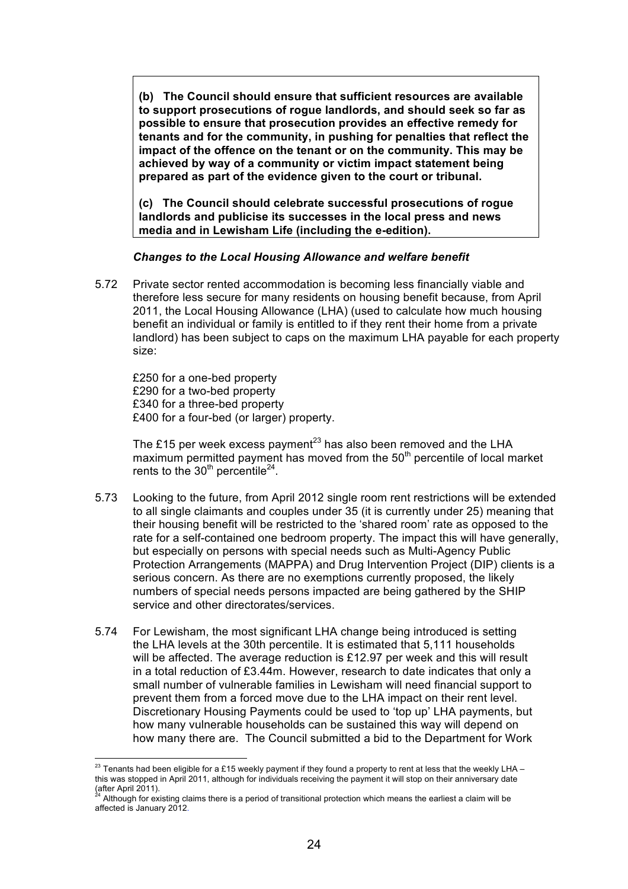**(b) The Council should ensure that sufficient resources are available to support prosecutions of rogue landlords, and should seek so far as possible to ensure that prosecution provides an effective remedy for tenants and for the community, in pushing for penalties that reflect the impact of the offence on the tenant or on the community. This may be achieved by way of a community or victim impact statement being prepared as part of the evidence given to the court or tribunal.** 

**(c) The Council should celebrate successful prosecutions of rogue landlords and publicise its successes in the local press and news media and in Lewisham Life (including the e-edition).** 

## *Changes to the Local Housing Allowance and welfare benefit*

5.72 Private sector rented accommodation is becoming less financially viable and therefore less secure for many residents on housing benefit because, from April 2011, the Local Housing Allowance (LHA) (used to calculate how much housing benefit an individual or family is entitled to if they rent their home from a private landlord) has been subject to caps on the maximum LHA payable for each property size:

£250 for a one-bed property £290 for a two-bed property £340 for a three-bed property £400 for a four-bed (or larger) property.

The £15 per week excess payment<sup>23</sup> has also been removed and the LHA maximum permitted payment has moved from the  $50<sup>th</sup>$  percentile of local market rents to the  $30<sup>th</sup>$  percentile<sup>24</sup>.

- 5.73 Looking to the future, from April 2012 single room rent restrictions will be extended to all single claimants and couples under 35 (it is currently under 25) meaning that their housing benefit will be restricted to the 'shared room' rate as opposed to the rate for a self-contained one bedroom property. The impact this will have generally, but especially on persons with special needs such as Multi-Agency Public Protection Arrangements (MAPPA) and Drug Intervention Project (DIP) clients is a serious concern. As there are no exemptions currently proposed, the likely numbers of special needs persons impacted are being gathered by the SHIP service and other directorates/services.
- 5.74 For Lewisham, the most significant LHA change being introduced is setting the LHA levels at the 30th percentile. It is estimated that 5,111 households will be affected. The average reduction is £12.97 per week and this will result in a total reduction of £3.44m. However, research to date indicates that only a small number of vulnerable families in Lewisham will need financial support to prevent them from a forced move due to the LHA impact on their rent level. Discretionary Housing Payments could be used to 'top up' LHA payments, but how many vulnerable households can be sustained this way will depend on how many there are. The Council submitted a bid to the Department for Work

<sup>&</sup>lt;sup>23</sup> Tenants had been eligible for a £15 weekly payment if they found a property to rent at less that the weekly LHA – this was stopped in April 2011, although for individuals receiving the payment it will stop on their anniversary date (after April 2011).

<sup>24</sup> Although for existing claims there is a period of transitional protection which means the earliest a claim will be affected is January 2012.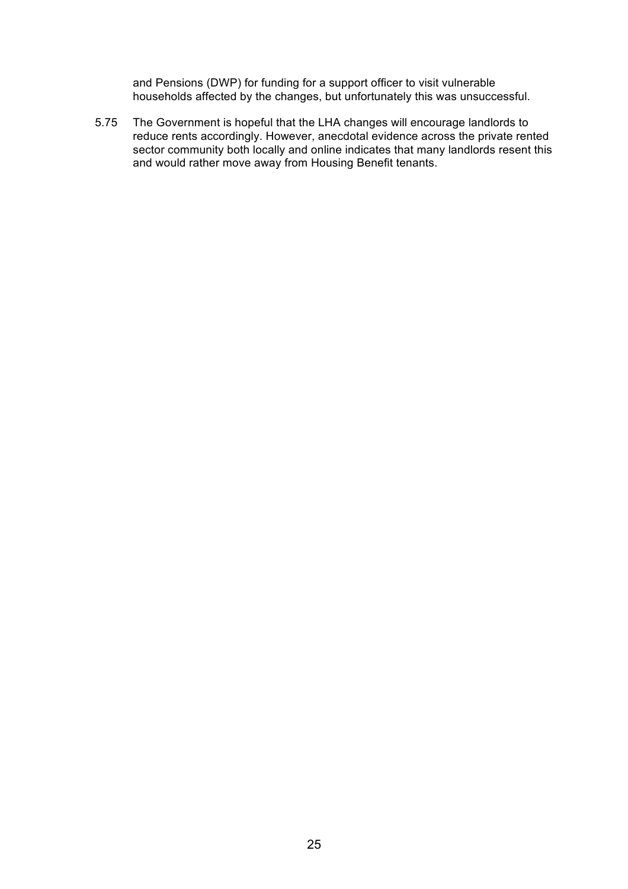and Pensions (DWP) for funding for a support officer to visit vulnerable households affected by the changes, but unfortunately this was unsuccessful.

5.75 The Government is hopeful that the LHA changes will encourage landlords to reduce rents accordingly. However, anecdotal evidence across the private rented sector community both locally and online indicates that many landlords resent this and would rather move away from Housing Benefit tenants.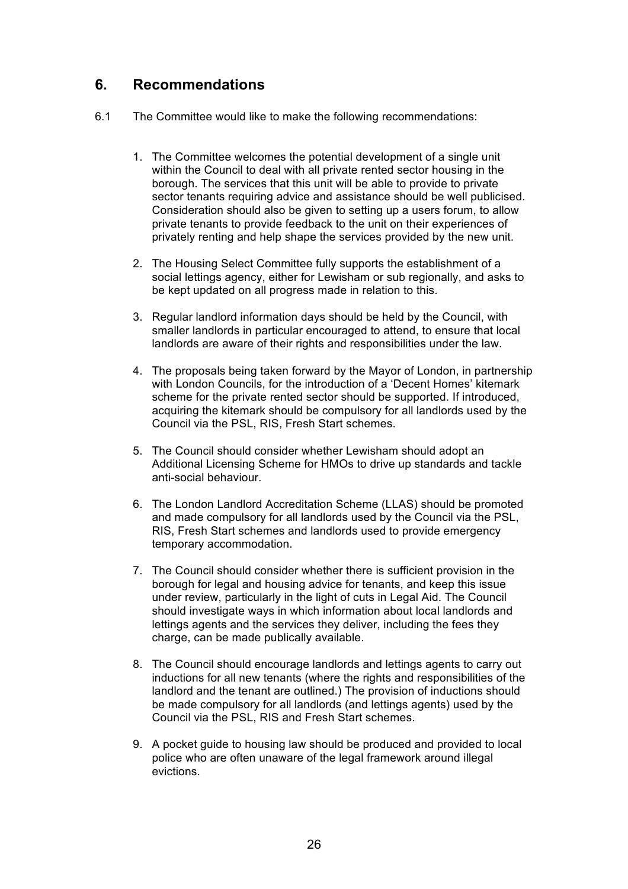## **6. Recommendations**

- 6.1 The Committee would like to make the following recommendations:
	- 1. The Committee welcomes the potential development of a single unit within the Council to deal with all private rented sector housing in the borough. The services that this unit will be able to provide to private sector tenants requiring advice and assistance should be well publicised. Consideration should also be given to setting up a users forum, to allow private tenants to provide feedback to the unit on their experiences of privately renting and help shape the services provided by the new unit.
	- 2. The Housing Select Committee fully supports the establishment of a social lettings agency, either for Lewisham or sub regionally, and asks to be kept updated on all progress made in relation to this.
	- 3. Regular landlord information days should be held by the Council, with smaller landlords in particular encouraged to attend, to ensure that local landlords are aware of their rights and responsibilities under the law.
	- 4. The proposals being taken forward by the Mayor of London, in partnership with London Councils, for the introduction of a 'Decent Homes' kitemark scheme for the private rented sector should be supported. If introduced, acquiring the kitemark should be compulsory for all landlords used by the Council via the PSL, RIS, Fresh Start schemes.
	- 5. The Council should consider whether Lewisham should adopt an Additional Licensing Scheme for HMOs to drive up standards and tackle anti-social behaviour.
	- 6. The London Landlord Accreditation Scheme (LLAS) should be promoted and made compulsory for all landlords used by the Council via the PSL, RIS, Fresh Start schemes and landlords used to provide emergency temporary accommodation.
	- 7. The Council should consider whether there is sufficient provision in the borough for legal and housing advice for tenants, and keep this issue under review, particularly in the light of cuts in Legal Aid. The Council should investigate ways in which information about local landlords and lettings agents and the services they deliver, including the fees they charge, can be made publically available.
	- 8. The Council should encourage landlords and lettings agents to carry out inductions for all new tenants (where the rights and responsibilities of the landlord and the tenant are outlined.) The provision of inductions should be made compulsory for all landlords (and lettings agents) used by the Council via the PSL, RIS and Fresh Start schemes.
	- 9. A pocket guide to housing law should be produced and provided to local police who are often unaware of the legal framework around illegal evictions.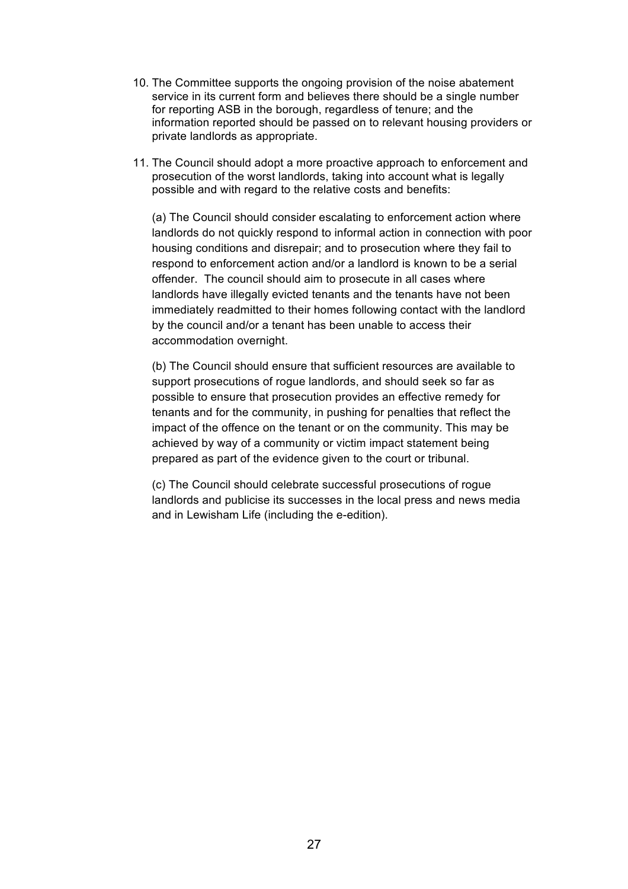- 10. The Committee supports the ongoing provision of the noise abatement service in its current form and believes there should be a single number for reporting ASB in the borough, regardless of tenure; and the information reported should be passed on to relevant housing providers or private landlords as appropriate.
- 11. The Council should adopt a more proactive approach to enforcement and prosecution of the worst landlords, taking into account what is legally possible and with regard to the relative costs and benefits:

(a) The Council should consider escalating to enforcement action where landlords do not quickly respond to informal action in connection with poor housing conditions and disrepair; and to prosecution where they fail to respond to enforcement action and/or a landlord is known to be a serial offender. The council should aim to prosecute in all cases where landlords have illegally evicted tenants and the tenants have not been immediately readmitted to their homes following contact with the landlord by the council and/or a tenant has been unable to access their accommodation overnight.

(b) The Council should ensure that sufficient resources are available to support prosecutions of rogue landlords, and should seek so far as possible to ensure that prosecution provides an effective remedy for tenants and for the community, in pushing for penalties that reflect the impact of the offence on the tenant or on the community. This may be achieved by way of a community or victim impact statement being prepared as part of the evidence given to the court or tribunal.

(c) The Council should celebrate successful prosecutions of rogue landlords and publicise its successes in the local press and news media and in Lewisham Life (including the e-edition).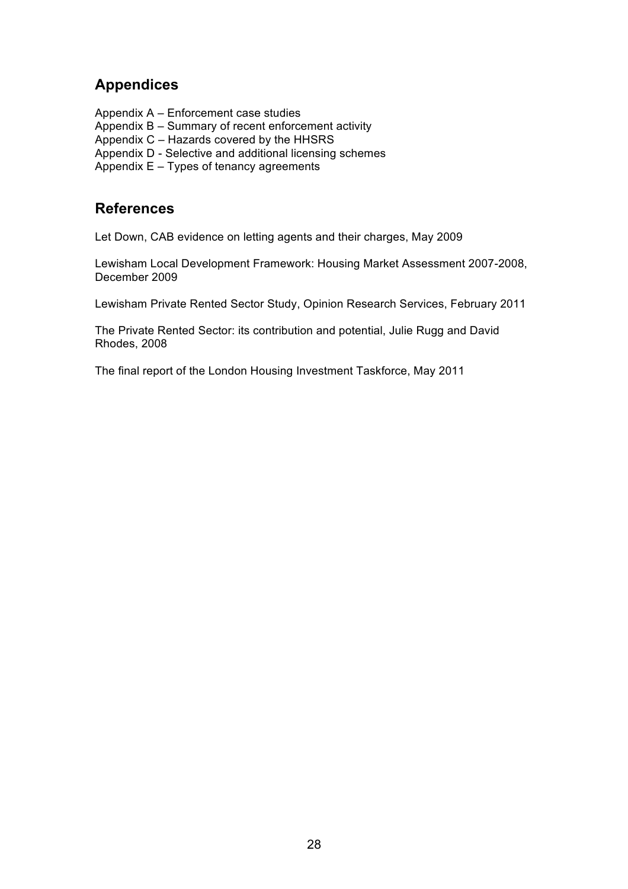## **Appendices**

Appendix A – Enforcement case studies

- Appendix B Summary of recent enforcement activity
- Appendix C Hazards covered by the HHSRS
- Appendix D Selective and additional licensing schemes
- Appendix E Types of tenancy agreements

## **References**

Let Down, CAB evidence on letting agents and their charges, May 2009

Lewisham Local Development Framework: Housing Market Assessment 2007-2008, December 2009

Lewisham Private Rented Sector Study, Opinion Research Services, February 2011

The Private Rented Sector: its contribution and potential, Julie Rugg and David Rhodes, 2008

The final report of the London Housing Investment Taskforce, May 2011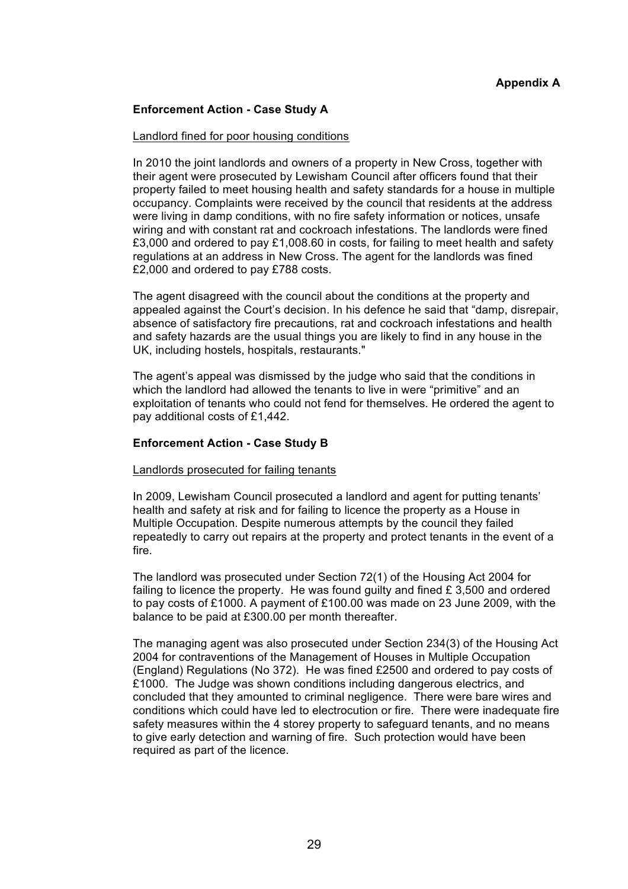## **Appendix A**

## **Enforcement Action - Case Study A**

#### Landlord fined for poor housing conditions

In 2010 the joint landlords and owners of a property in New Cross, together with their agent were prosecuted by Lewisham Council after officers found that their property failed to meet housing health and safety standards for a house in multiple occupancy. Complaints were received by the council that residents at the address were living in damp conditions, with no fire safety information or notices, unsafe wiring and with constant rat and cockroach infestations. The landlords were fined £3,000 and ordered to pay £1,008.60 in costs, for failing to meet health and safety regulations at an address in New Cross. The agent for the landlords was fined £2,000 and ordered to pay £788 costs.

The agent disagreed with the council about the conditions at the property and appealed against the Court's decision. In his defence he said that "damp, disrepair, absence of satisfactory fire precautions, rat and cockroach infestations and health and safety hazards are the usual things you are likely to find in any house in the UK, including hostels, hospitals, restaurants."

The agent's appeal was dismissed by the judge who said that the conditions in which the landlord had allowed the tenants to live in were "primitive" and an exploitation of tenants who could not fend for themselves. He ordered the agent to pay additional costs of £1,442.

#### **Enforcement Action - Case Study B**

#### Landlords prosecuted for failing tenants

In 2009, Lewisham Council prosecuted a landlord and agent for putting tenants' health and safety at risk and for failing to licence the property as a House in Multiple Occupation. Despite numerous attempts by the council they failed repeatedly to carry out repairs at the property and protect tenants in the event of a fire.

The landlord was prosecuted under Section 72(1) of the Housing Act 2004 for failing to licence the property. He was found guilty and fined  $E$  3,500 and ordered to pay costs of £1000. A payment of £100.00 was made on 23 June 2009, with the balance to be paid at £300.00 per month thereafter.

The managing agent was also prosecuted under Section 234(3) of the Housing Act 2004 for contraventions of the Management of Houses in Multiple Occupation (England) Regulations (No 372). He was fined £2500 and ordered to pay costs of £1000. The Judge was shown conditions including dangerous electrics, and concluded that they amounted to criminal negligence. There were bare wires and conditions which could have led to electrocution or fire. There were inadequate fire safety measures within the 4 storey property to safeguard tenants, and no means to give early detection and warning of fire. Such protection would have been required as part of the licence.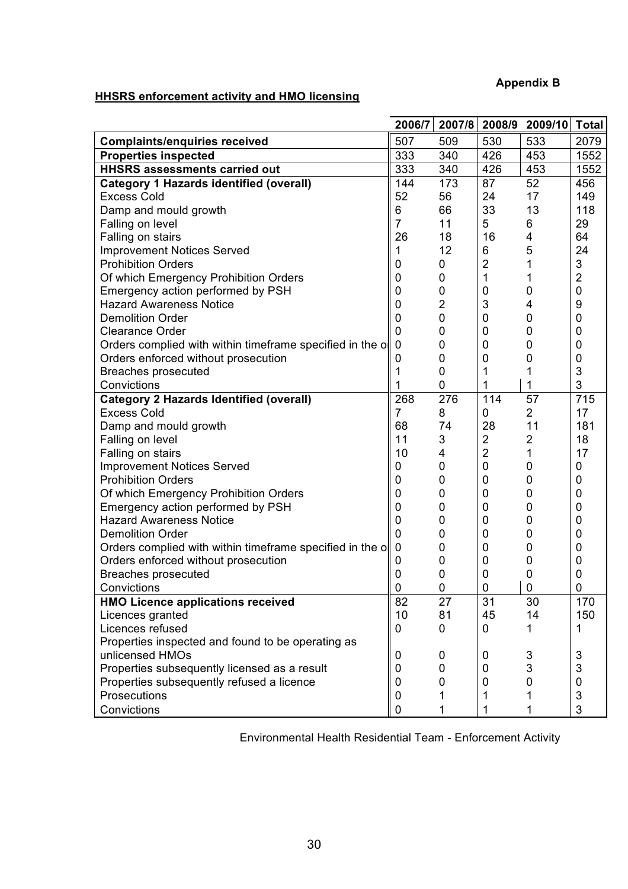## **Appendix B**

## **HHSRS enforcement activity and HMO licensing**

|                                                          | 2006/7         | 2007/8         | 2008/9         | 2009/10        | <b>Total</b>   |
|----------------------------------------------------------|----------------|----------------|----------------|----------------|----------------|
| <b>Complaints/enquiries received</b>                     | 507            | 509            | 530            | 533            | 2079           |
| <b>Properties inspected</b>                              | 333            | 340            | 426            | 453            | 1552           |
| <b>HHSRS assessments carried out</b>                     | 333            | 340            | 426            | 453            | 1552           |
| <b>Category 1 Hazards identified (overall)</b>           | 144            | 173            | 87             | 52             | 456            |
| <b>Excess Cold</b>                                       | 52             | 56             | 24             | 17             | 149            |
| Damp and mould growth                                    | 6              | 66             | 33             | 13             | 118            |
| Falling on level                                         | $\overline{7}$ | 11             | 5              | 6              | 29             |
| Falling on stairs                                        | 26             | 18             | 16             | 4              | 64             |
| <b>Improvement Notices Served</b>                        | 1              | 12             | 6              | 5              | 24             |
| <b>Prohibition Orders</b>                                | 0              | 0              | $\overline{2}$ | 1              | 3              |
| Of which Emergency Prohibition Orders                    | 0              | 0              | 1              | 1              | $\overline{2}$ |
| Emergency action performed by PSH                        | 0              | 0              | 0              | 0              | 0              |
| <b>Hazard Awareness Notice</b>                           | 0              | $\overline{2}$ | 3              | 4              | 9              |
| <b>Demolition Order</b>                                  | 0              | 0              | 0              | $\mathbf 0$    | 0              |
| <b>Clearance Order</b>                                   | $\mathbf 0$    | 0              | 0              | 0              | 0              |
| Orders complied with within timeframe specified in the o | $\mathbf 0$    | 0              | 0              | 0              | 0              |
| Orders enforced without prosecution                      | 0              | 0              | 0              | 0              | 0              |
| <b>Breaches prosecuted</b>                               |                | 0              | 1              | 1              | 3              |
| Convictions                                              |                | 0              | 1              | 1              | 3              |
| <b>Category 2 Hazards Identified (overall)</b>           | 268            | 276            | 114            | 57             | 715            |
| <b>Excess Cold</b>                                       | 7              | 8              | 0              | $\overline{2}$ | 17             |
| Damp and mould growth                                    | 68             | 74             | 28             | 11             | 181            |
| Falling on level                                         | 11             | 3              | $\overline{2}$ | $\overline{2}$ | 18             |
| Falling on stairs                                        | 10             | 4              | $\overline{2}$ | 1              | 17             |
| <b>Improvement Notices Served</b>                        | 0              | 0              | 0              | 0              | 0              |
| <b>Prohibition Orders</b>                                | 0              | 0              | $\mathbf 0$    | 0              | 0              |
| Of which Emergency Prohibition Orders                    | 0              | 0              | 0              | 0              | 0              |
| Emergency action performed by PSH                        | 0              | 0              | 0              | 0              | 0              |
| <b>Hazard Awareness Notice</b>                           | $\mathbf 0$    | 0              | 0              | 0              | 0              |
| <b>Demolition Order</b>                                  | $\mathbf 0$    | 0              | 0              | 0              | 0              |
| Orders complied with within timeframe specified in the o | $\mathbf 0$    | 0              | 0              | 0              | 0              |
| Orders enforced without prosecution                      | 0              | 0              | 0              | 0              | 0              |
| <b>Breaches prosecuted</b>                               | 0              | 0              | 0              | $\mathbf 0$    | 0              |
| Convictions                                              | 0              | 0              | 0              | $\mathbf 0$    | 0              |
| <b>HMO Licence applications received</b>                 | 82             | 27             | 31             | 30             | 170            |
| Licences granted                                         | 10             | 81             | 45             | 14             | 150            |
| Licences refused                                         | 0              | 0              | 0              |                | 1              |
| Properties inspected and found to be operating as        |                |                |                |                |                |
| unlicensed HMOs                                          | 0              | 0              | 0              | 3              | 3              |
| Properties subsequently licensed as a result             | 0              | 0              | 0              | 3              | 3              |
| Properties subsequently refused a licence                | 0              | O              | 0              | $\Omega$       | $\overline{0}$ |
| Prosecutions                                             | 0              |                | 1              |                | 3              |
| Convictions                                              | 0              |                | 1              |                | 3              |

Environmental Health Residential Team - Enforcement Activity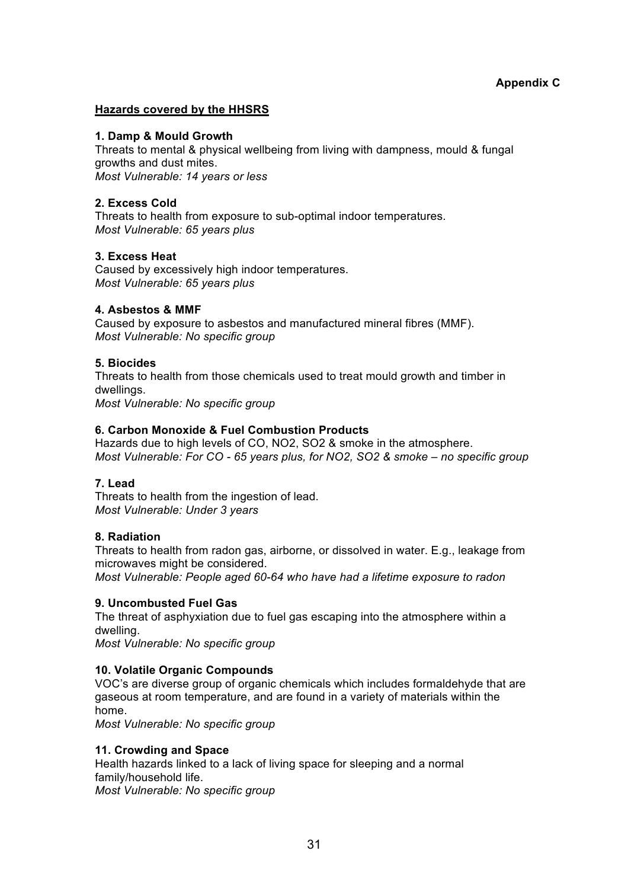## **Hazards covered by the HHSRS**

## **1. Damp & Mould Growth**

Threats to mental & physical wellbeing from living with dampness, mould & fungal growths and dust mites. *Most Vulnerable: 14 years or less*

## **2. Excess Cold**

Threats to health from exposure to sub-optimal indoor temperatures. *Most Vulnerable: 65 years plus*

## **3. Excess Heat**

Caused by excessively high indoor temperatures. *Most Vulnerable: 65 years plus*

## **4. Asbestos & MMF**

Caused by exposure to asbestos and manufactured mineral fibres (MMF). *Most Vulnerable: No specific group*

## **5. Biocides**

Threats to health from those chemicals used to treat mould growth and timber in dwellings. *Most Vulnerable: No specific group*

## **6. Carbon Monoxide & Fuel Combustion Products**

Hazards due to high levels of CO, NO2, SO2 & smoke in the atmosphere. *Most Vulnerable: For CO - 65 years plus, for NO2, SO2 & smoke – no specific group*

## **7. Lead**

Threats to health from the ingestion of lead. *Most Vulnerable: Under 3 years*

#### **8. Radiation**

Threats to health from radon gas, airborne, or dissolved in water. E.g., leakage from microwaves might be considered.

*Most Vulnerable: People aged 60-64 who have had a lifetime exposure to radon*

## **9. Uncombusted Fuel Gas**

The threat of asphyxiation due to fuel gas escaping into the atmosphere within a dwelling.

*Most Vulnerable: No specific group*

## **10. Volatile Organic Compounds**

VOC's are diverse group of organic chemicals which includes formaldehyde that are gaseous at room temperature, and are found in a variety of materials within the home.

*Most Vulnerable: No specific group*

## **11. Crowding and Space**

Health hazards linked to a lack of living space for sleeping and a normal family/household life. *Most Vulnerable: No specific group*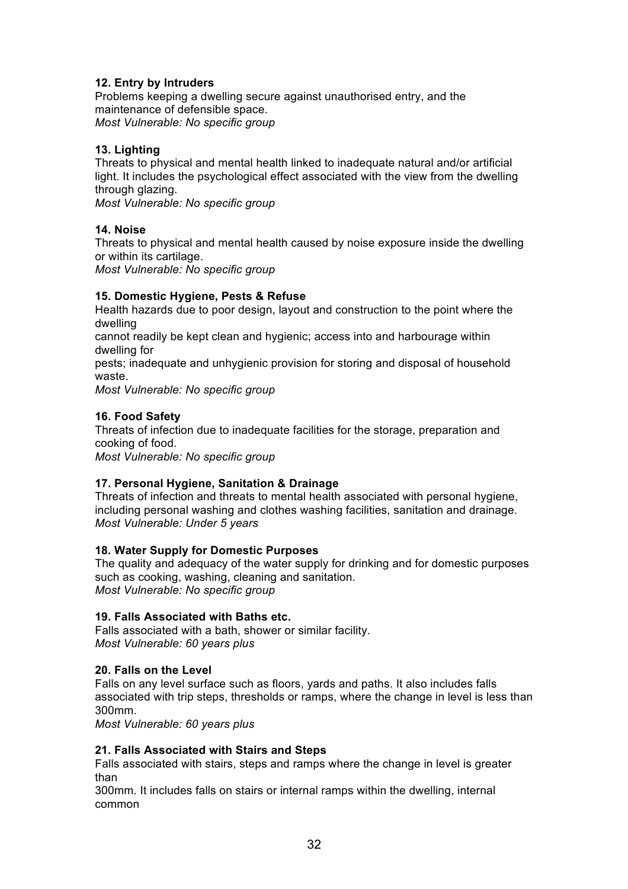## **12. Entry by Intruders**

Problems keeping a dwelling secure against unauthorised entry, and the maintenance of defensible space. *Most Vulnerable: No specific group*

## **13. Lighting**

Threats to physical and mental health linked to inadequate natural and/or artificial light. It includes the psychological effect associated with the view from the dwelling through glazing.

*Most Vulnerable: No specific group*

## **14. Noise**

Threats to physical and mental health caused by noise exposure inside the dwelling or within its cartilage.

*Most Vulnerable: No specific group*

## **15. Domestic Hygiene, Pests & Refuse**

Health hazards due to poor design, layout and construction to the point where the dwelling

cannot readily be kept clean and hygienic; access into and harbourage within dwelling for

pests; inadequate and unhygienic provision for storing and disposal of household waste.

*Most Vulnerable: No specific group*

## **16. Food Safety**

Threats of infection due to inadequate facilities for the storage, preparation and cooking of food. *Most Vulnerable: No specific group*

## **17. Personal Hygiene, Sanitation & Drainage**

Threats of infection and threats to mental health associated with personal hygiene, including personal washing and clothes washing facilities, sanitation and drainage. *Most Vulnerable: Under 5 years*

## **18. Water Supply for Domestic Purposes**

The quality and adequacy of the water supply for drinking and for domestic purposes such as cooking, washing, cleaning and sanitation. *Most Vulnerable: No specific group*

## **19. Falls Associated with Baths etc.**

Falls associated with a bath, shower or similar facility. *Most Vulnerable: 60 years plus*

## **20. Falls on the Level**

Falls on any level surface such as floors, yards and paths. It also includes falls associated with trip steps, thresholds or ramps, where the change in level is less than 300mm.

*Most Vulnerable: 60 years plus*

## **21. Falls Associated with Stairs and Steps**

Falls associated with stairs, steps and ramps where the change in level is greater than

300mm. It includes falls on stairs or internal ramps within the dwelling, internal common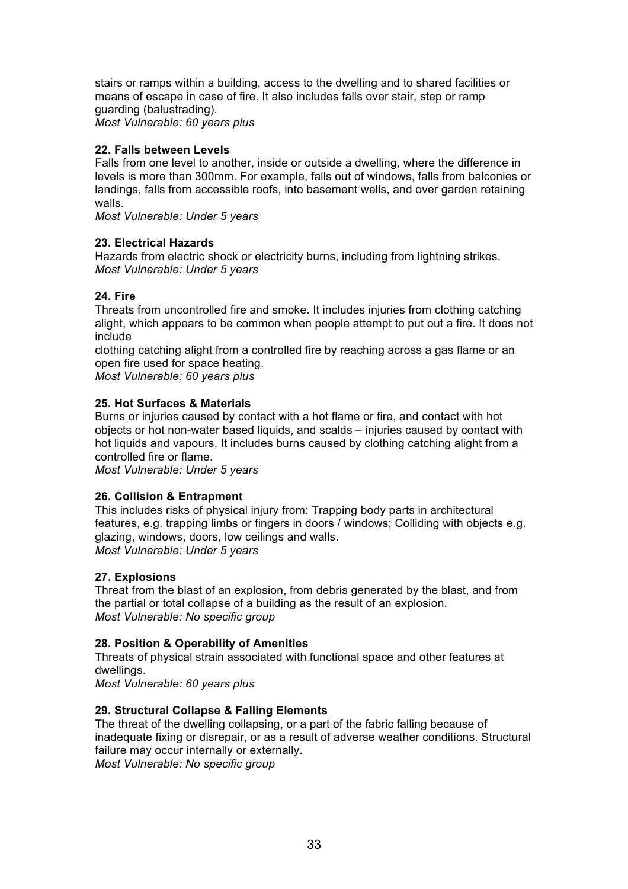stairs or ramps within a building, access to the dwelling and to shared facilities or means of escape in case of fire. It also includes falls over stair, step or ramp guarding (balustrading). *Most Vulnerable: 60 years plus*

## **22. Falls between Levels**

Falls from one level to another, inside or outside a dwelling, where the difference in levels is more than 300mm. For example, falls out of windows, falls from balconies or landings, falls from accessible roofs, into basement wells, and over garden retaining walls.

*Most Vulnerable: Under 5 years*

## **23. Electrical Hazards**

Hazards from electric shock or electricity burns, including from lightning strikes. *Most Vulnerable: Under 5 years*

## **24. Fire**

Threats from uncontrolled fire and smoke. It includes injuries from clothing catching alight, which appears to be common when people attempt to put out a fire. It does not include

clothing catching alight from a controlled fire by reaching across a gas flame or an open fire used for space heating.

*Most Vulnerable: 60 years plus*

## **25. Hot Surfaces & Materials**

Burns or injuries caused by contact with a hot flame or fire, and contact with hot objects or hot non-water based liquids, and scalds – injuries caused by contact with hot liquids and vapours. It includes burns caused by clothing catching alight from a controlled fire or flame.

*Most Vulnerable: Under 5 years*

## **26. Collision & Entrapment**

This includes risks of physical injury from: Trapping body parts in architectural features, e.g. trapping limbs or fingers in doors / windows; Colliding with objects e.g. glazing, windows, doors, low ceilings and walls. *Most Vulnerable: Under 5 years*

#### **27. Explosions**

Threat from the blast of an explosion, from debris generated by the blast, and from the partial or total collapse of a building as the result of an explosion. *Most Vulnerable: No specific group*

#### **28. Position & Operability of Amenities**

Threats of physical strain associated with functional space and other features at dwellings.

*Most Vulnerable: 60 years plus*

## **29. Structural Collapse & Falling Elements**

The threat of the dwelling collapsing, or a part of the fabric falling because of inadequate fixing or disrepair, or as a result of adverse weather conditions. Structural failure may occur internally or externally.

*Most Vulnerable: No specific group*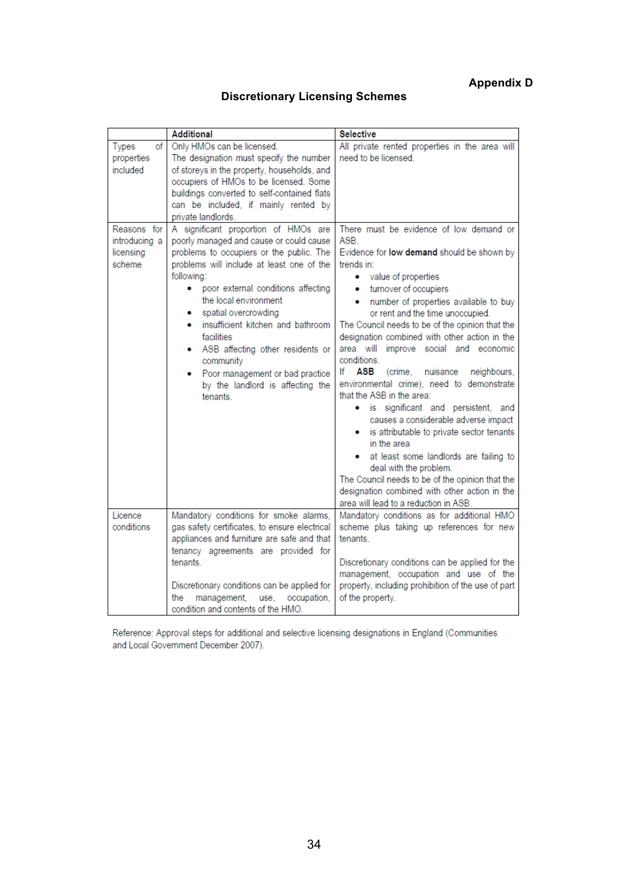## **Appendix D**

## **Discretionary Licensing Schemes**

|                                                     | <b>Additional</b>                                                                                                                                                                                                                                                                                                                                                                                                                                                             | Selective                                                                                                                                                                                                                                                                                                                                                                                                                                                                                                                                                                                                                                                                                                                                                                                                                                                                                                                        |
|-----------------------------------------------------|-------------------------------------------------------------------------------------------------------------------------------------------------------------------------------------------------------------------------------------------------------------------------------------------------------------------------------------------------------------------------------------------------------------------------------------------------------------------------------|----------------------------------------------------------------------------------------------------------------------------------------------------------------------------------------------------------------------------------------------------------------------------------------------------------------------------------------------------------------------------------------------------------------------------------------------------------------------------------------------------------------------------------------------------------------------------------------------------------------------------------------------------------------------------------------------------------------------------------------------------------------------------------------------------------------------------------------------------------------------------------------------------------------------------------|
| of<br>Types<br>properties<br>included               | Only HMOs can be licensed.<br>The designation must specify the number<br>of storeys in the property, households, and<br>occupiers of HMOs to be licensed. Some<br>buildings converted to self-contained flats<br>can be included, if mainly rented by<br>private landlords                                                                                                                                                                                                    | All private rented properties in the area will<br>need to be licensed.                                                                                                                                                                                                                                                                                                                                                                                                                                                                                                                                                                                                                                                                                                                                                                                                                                                           |
| Reasons for<br>introducing a<br>licensing<br>scheme | A significant proportion of HMOs are<br>poorly managed and cause or could cause<br>problems to occupiers or the public. The<br>problems will include at least one of the<br>following:<br>poor external conditions affecting<br>٠<br>the local environment<br>spatial overcrowding<br>• insufficient kitchen and bathroom<br>facilities<br>• ASB affecting other residents or<br>community<br>Poor management or bad practice<br>by the landlord is affecting the<br>tenants. | There must be evidence of low demand or<br>ASB.<br>Evidence for <b>low demand</b> should be shown by<br>trends in:<br>• value of properties<br>turnover of occupiers<br>$\bullet$<br>number of properties available to buy<br>$\bullet$<br>or rent and the time unoccupied.<br>The Council needs to be of the opinion that the<br>designation combined with other action in the<br>area will improve social and economic<br>conditions.<br>lf<br>ASB<br>(crime, nuisance<br>neighbours,<br>environmental crime), need to demonstrate<br>that the ASB in the area:<br>· is significant and persistent, and<br>causes a considerable adverse impact<br>• is attributable to private sector tenants<br>in the area<br>at least some landlords are failing to<br>deal with the problem.<br>The Council needs to be of the opinion that the<br>designation combined with other action in the<br>area will lead to a reduction in ASB. |
| Licence<br>conditions                               | Mandatory conditions for smoke alarms,<br>gas safety certificates, to ensure electrical<br>appliances and furniture are safe and that<br>tenancy agreements are provided for<br>tenants<br>Discretionary conditions can be applied for<br>management,<br>use, occupation,<br>the<br>condition and contents of the HMO.                                                                                                                                                        | Mandatory conditions as for additional HMO<br>scheme plus taking up references for new<br>tenants.<br>Discretionary conditions can be applied for the<br>management, occupation and use of the<br>property, including prohibition of the use of part<br>of the property.                                                                                                                                                                                                                                                                                                                                                                                                                                                                                                                                                                                                                                                         |

Reference: Approval steps for additional and selective licensing designations in England (Communities and Local Government December 2007).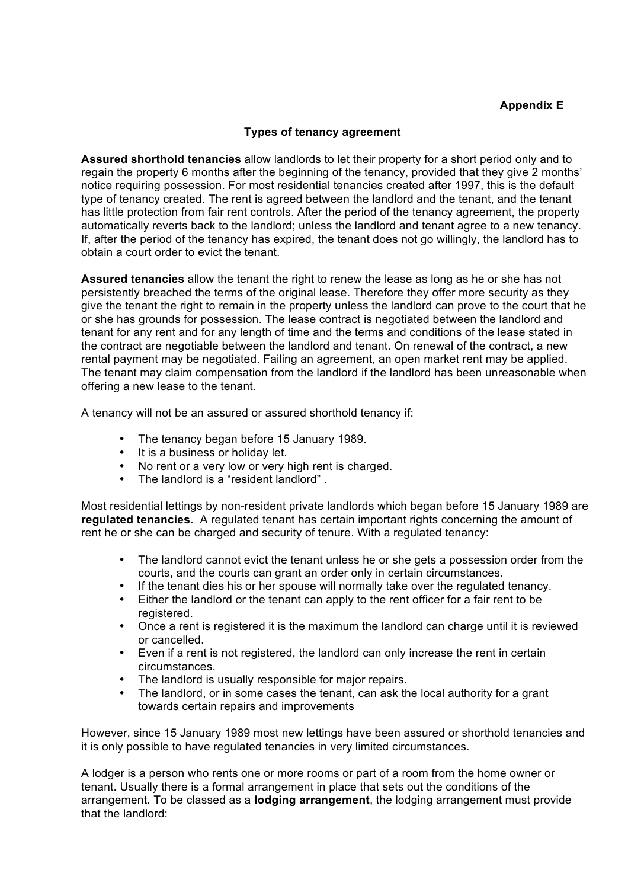## **Appendix E**

## **Types of tenancy agreement**

**Assured shorthold tenancies** allow landlords to let their property for a short period only and to regain the property 6 months after the beginning of the tenancy, provided that they give 2 months' notice requiring possession. For most residential tenancies created after 1997, this is the default type of tenancy created. The rent is agreed between the landlord and the tenant, and the tenant has little protection from fair rent controls. After the period of the tenancy agreement, the property automatically reverts back to the landlord; unless the landlord and tenant agree to a new tenancy. If, after the period of the tenancy has expired, the tenant does not go willingly, the landlord has to obtain a court order to evict the tenant.

**Assured tenancies** allow the tenant the right to renew the lease as long as he or she has not persistently breached the terms of the original lease. Therefore they offer more security as they give the tenant the right to remain in the property unless the landlord can prove to the court that he or she has grounds for possession. The lease contract is negotiated between the landlord and tenant for any rent and for any length of time and the terms and conditions of the lease stated in the contract are negotiable between the landlord and tenant. On renewal of the contract, a new rental payment may be negotiated. Failing an agreement, an open market rent may be applied. The tenant may claim compensation from the landlord if the landlord has been unreasonable when offering a new lease to the tenant.

A tenancy will not be an assured or assured shorthold tenancy if:

- The tenancy began before 15 January 1989.
- It is a business or holiday let.
- No rent or a very low or very high rent is charged.
- The landlord is a "resident landlord" .

Most residential lettings by non-resident private landlords which began before 15 January 1989 are **regulated tenancies**. A regulated tenant has certain important rights concerning the amount of rent he or she can be charged and security of tenure. With a regulated tenancy:

- The landlord cannot evict the tenant unless he or she gets a possession order from the courts, and the courts can grant an order only in certain circumstances.
- If the tenant dies his or her spouse will normally take over the regulated tenancy.
- Either the landlord or the tenant can apply to the rent officer for a fair rent to be registered.
- Once a rent is registered it is the maximum the landlord can charge until it is reviewed or cancelled.
- Even if a rent is not registered, the landlord can only increase the rent in certain circumstances.
- The landlord is usually responsible for major repairs.
- The landlord, or in some cases the tenant, can ask the local authority for a grant towards certain repairs and improvements

However, since 15 January 1989 most new lettings have been assured or shorthold tenancies and it is only possible to have regulated tenancies in very limited circumstances.

A lodger is a person who rents one or more rooms or part of a room from the home owner or tenant. Usually there is a formal arrangement in place that sets out the conditions of the arrangement. To be classed as a **lodging arrangement**, the lodging arrangement must provide that the landlord: